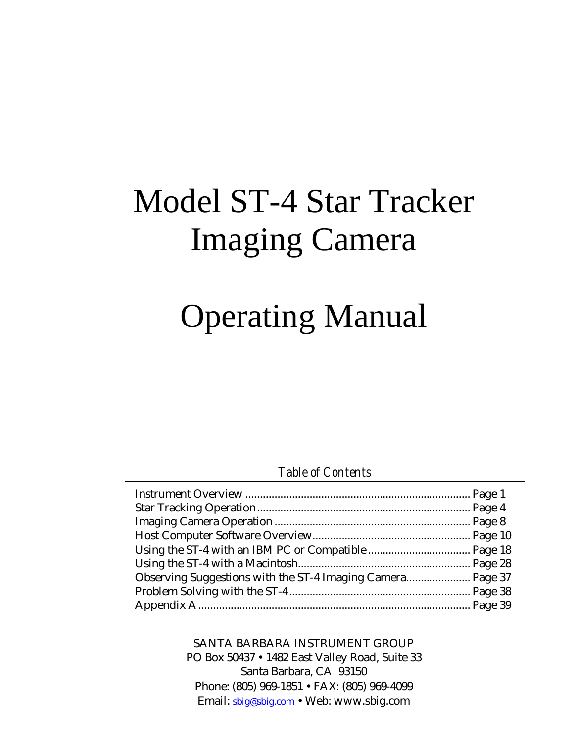# Model ST-4 Star Tracker Imaging Camera

# Operating Manual

# *Table of Contents*

SANTA BARBARA INSTRUMENT GROUP PO Box 50437 • 1482 East Valley Road, Suite 33 Santa Barbara, CA 93150 Phone: (805) 969-1851 • FAX: (805) 969-4099 Email: sbig@sbig.com • Web: www.sbig.com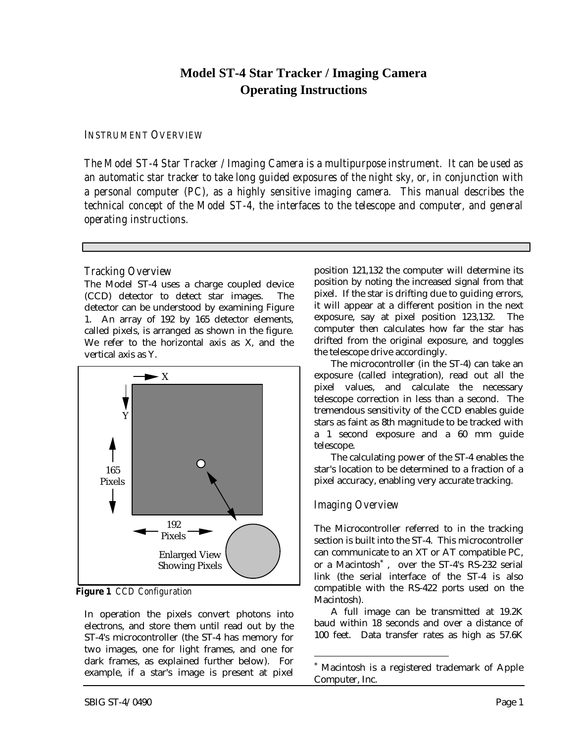# **Model ST-4 Star Tracker / Imaging Camera Operating Instructions**

#### *INSTRUMENT OVERVIEW*

*The Model ST-4 Star Tracker / Imaging Camera is a multipurpose instrument. It can be used as an automatic star tracker to take long guided exposures of the night sky, or, in conjunction with a personal computer (PC), as a highly sensitive imaging camera. This manual describes the technical concept of the Model ST-4, the interfaces to the telescope and computer, and general operating instructions.*

### *Tracking Overview*

The Model ST-4 uses a charge coupled device (CCD) detector to detect star images. The detector can be understood by examining Figure 1. An array of 192 by 165 detector elements, called pixels, is arranged as shown in the figure. We refer to the horizontal axis as X, and the vertical axis as Y.



**Figure 1** *CCD Configuration*

In operation the pixels convert photons into electrons, and store them until read out by the ST-4's microcontroller (the ST-4 has memory for two images, one for light frames, and one for dark frames, as explained further below). For example, if a star's image is present at pixel position 121,132 the computer will determine its position by noting the increased signal from that pixel. If the star is drifting due to guiding errors, it will appear at a different position in the next exposure, say at pixel position 123,132. The computer then calculates how far the star has drifted from the original exposure, and toggles the telescope drive accordingly.

The microcontroller (in the ST-4) can take an exposure (called integration), read out all the pixel values, and calculate the necessary telescope correction in less than a second. The tremendous sensitivity of the CCD enables guide stars as faint as 8th magnitude to be tracked with a 1 second exposure and a 60 mm guide telescope.

The calculating power of the ST-4 enables the star's location to be determined to a fraction of a pixel accuracy, enabling very accurate tracking.

# *Imaging Overview*

-

The Microcontroller referred to in the tracking section is built into the ST-4. This microcontroller can communicate to an XT or AT compatible PC, or a Macintosh\* , over the ST-4's RS-232 serial link (the serial interface of the ST-4 is also compatible with the RS-422 ports used on the Macintosh).

A full image can be transmitted at 19.2K baud within 18 seconds and over a distance of 100 feet. Data transfer rates as high as 57.6K

<sup>\*</sup> Macintosh is a registered trademark of Apple Computer, Inc.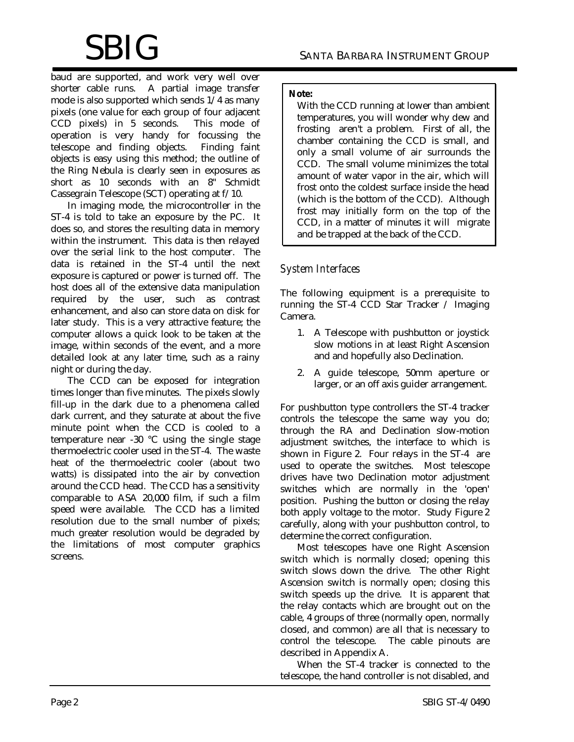baud are supported, and work very well over shorter cable runs. A partial image transfer mode is also supported which sends 1/4 as many pixels (one value for each group of four adjacent CCD pixels) in 5 seconds. This mode of operation is very handy for focussing the telescope and finding objects. Finding faint objects is easy using this method; the outline of the Ring Nebula is clearly seen in exposures as short as 10 seconds with an 8" Schmidt Cassegrain Telescope (SCT) operating at f/10.

In imaging mode, the microcontroller in the ST-4 is told to take an exposure by the PC. It does so, and stores the resulting data in memory within the instrument. This data is then relayed over the serial link to the host computer. The data is retained in the ST-4 until the next exposure is captured or power is turned off. The host does all of the extensive data manipulation required by the user, such as contrast enhancement, and also can store data on disk for later study. This is a very attractive feature; the computer allows a quick look to be taken at the image, within seconds of the event, and a more detailed look at any later time, such as a rainy night or during the day.

The CCD can be exposed for integration times longer than five minutes. The pixels slowly fill-up in the dark due to a phenomena called dark current, and they saturate at about the five minute point when the CCD is cooled to a temperature near -30 °C using the single stage thermoelectric cooler used in the ST-4. The waste heat of the thermoelectric cooler (about two watts) is dissipated into the air by convection around the CCD head. The CCD has a sensitivity comparable to ASA 20,000 film, if such a film speed were available. The CCD has a limited resolution due to the small number of pixels; much greater resolution would be degraded by the limitations of most computer graphics screens.

#### **Note:**

With the CCD running at lower than ambient temperatures, you will wonder why dew and frosting aren't a problem. First of all, the chamber containing the CCD is small, and only a small volume of air surrounds the CCD. The small volume minimizes the total amount of water vapor in the air, which will frost onto the coldest surface inside the head (which is the bottom of the CCD). Although frost may initially form on the top of the CCD, in a matter of minutes it will migrate and be trapped at the back of the CCD.

## *System Interfaces*

The following equipment is a prerequisite to running the ST-4 CCD Star Tracker / Imaging Camera.

- 1. A Telescope with pushbutton or joystick slow motions in at least Right Ascension and and hopefully also Declination.
- 2. A guide telescope, 50mm aperture or larger, or an off axis guider arrangement.

For pushbutton type controllers the ST-4 tracker controls the telescope the same way you do; through the RA and Declination slow-motion adjustment switches, the interface to which is shown in Figure 2. Four relays in the ST-4 are used to operate the switches. Most telescope drives have two Declination motor adjustment switches which are normally in the 'open' position. Pushing the button or closing the relay both apply voltage to the motor. Study Figure 2 carefully, along with your pushbutton control, to determine the correct configuration.

Most telescopes have one Right Ascension switch which is normally closed; opening this switch slows down the drive. The other Right Ascension switch is normally open; closing this switch speeds up the drive. It is apparent that the relay contacts which are brought out on the cable, 4 groups of three (normally open, normally closed, and common) are all that is necessary to control the telescope. The cable pinouts are described in Appendix A.

When the ST-4 tracker is connected to the telescope, the hand controller is not disabled, and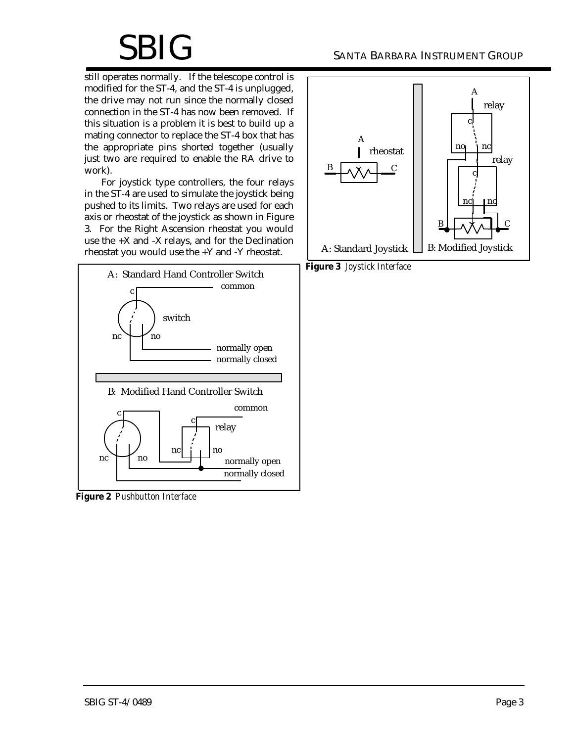still operates normally. If the telescope control is modified for the ST-4, and the ST-4 is unplugged, the drive may not run since the normally closed connection in the ST-4 has now been removed. If this situation is a problem it is best to build up a mating connector to replace the ST-4 box that has the appropriate pins shorted together (usually just two are required to enable the RA drive to work).

For joystick type controllers, the four relays in the ST-4 are used to simulate the joystick being pushed to its limits. Two relays are used for each axis or rheostat of the joystick as shown in Figure 3. For the Right Ascension rheostat you would use the +X and -X relays, and for the Declination rheostat you would use the +Y and -Y rheostat.



**Figure 2** *Pushbutton Interface*



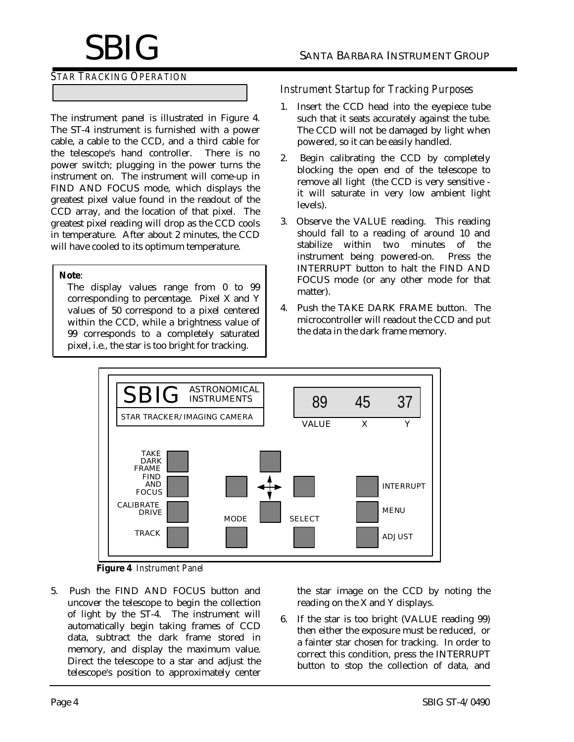### *STAR TRACKING OPERATION*

The instrument panel is illustrated in Figure 4. The ST-4 instrument is furnished with a power cable, a cable to the CCD, and a third cable for the telescope's hand controller. There is no power switch; plugging in the power turns the instrument on. The instrument will come-up in FIND AND FOCUS mode, which displays the greatest pixel value found in the readout of the CCD array, and the location of that pixel. The greatest pixel reading will drop as the CCD cools in temperature. After about 2 minutes, the CCD will have cooled to its optimum temperature.

#### **Note**:

The display values range from 0 to 99 corresponding to percentage. Pixel X and Y values of 50 correspond to a pixel centered within the CCD, while a brightness value of 99 corresponds to a completely saturated pixel, i.e., the star is too bright for tracking.

#### *Instrument Startup for Tracking Purposes*

- 1. Insert the CCD head into the eyepiece tube such that it seats accurately against the tube. The CCD will not be damaged by light when powered, so it can be easily handled.
- 2. Begin calibrating the CCD by completely blocking the open end of the telescope to remove all light (the CCD is very sensitive it will saturate in very low ambient light levels).
- 3. Observe the VALUE reading. This reading should fall to a reading of around 10 and stabilize within two minutes of the instrument being powered-on. Press the INTERRUPT button to halt the FIND AND FOCUS mode (or any other mode for that matter).
- 4. Push the TAKE DARK FRAME button. The microcontroller will readout the CCD and put the data in the dark frame memory.



**Figure 4** *Instrument Panel*

5. Push the FIND AND FOCUS button and uncover the telescope to begin the collection of light by the ST-4. The instrument will automatically begin taking frames of CCD data, subtract the dark frame stored in memory, and display the maximum value. Direct the telescope to a star and adjust the telescope's position to approximately center

the star image on the CCD by noting the reading on the X and Y displays.

6. If the star is too bright (VALUE reading 99) then either the exposure must be reduced, or a fainter star chosen for tracking. In order to correct this condition, press the INTERRUPT button to stop the collection of data, and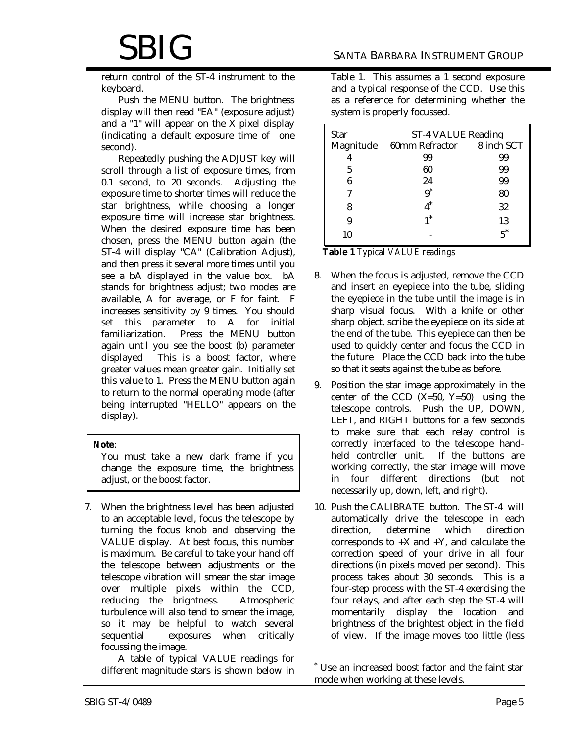return control of the ST-4 instrument to the keyboard.

Push the MENU button. The brightness display will then read "EA" (exposure adjust) and a "1" will appear on the X pixel display (indicating a default exposure time of one second).

Repeatedly pushing the ADJUST key will scroll through a list of exposure times, from 0.1 second, to 20 seconds. Adjusting the exposure time to shorter times will reduce the star brightness, while choosing a longer exposure time will increase star brightness. When the desired exposure time has been chosen, press the MENU button again (the ST-4 will display "CA" (Calibration Adjust), and then press it several more times until you see a bA displayed in the value box. bA stands for brightness adjust; two modes are available, A for average, or F for faint. F increases sensitivity by 9 times. You should set this parameter to A for initial familiarization. Press the MENU button again until you see the boost (b) parameter displayed. This is a boost factor, where greater values mean greater gain. Initially set this value to 1. Press the MENU button again to return to the normal operating mode (after being interrupted "HELLO" appears on the display).

#### **Note**:

You must take a new dark frame if you change the exposure time, the brightness adjust, or the boost factor.

7. When the brightness level has been adjusted to an acceptable level, focus the telescope by turning the focus knob and observing the VALUE display. At best focus, this number is maximum. Be careful to take your hand off the telescope between adjustments or the telescope vibration will smear the star image over multiple pixels within the CCD, reducing the brightness. Atmospheric turbulence will also tend to smear the image, so it may be helpful to watch several sequential exposures when critically focussing the image.

A table of typical VALUE readings for different magnitude stars is shown below in Table 1. This assumes a 1 second exposure and a typical response of the CCD. Use this as a reference for determining whether the system is properly focussed.

| <b>Star</b> | ST-4 VALUE Reading        |    |
|-------------|---------------------------|----|
| Magnitude   | 60mm Refractor 8 inch SCT |    |
|             | 99                        | 99 |
| 5           | 60                        | 99 |
| 6           | 24                        | 99 |
| 7           | $9^*$                     | 80 |
| 8           |                           | 32 |
|             |                           | 13 |
| 10          |                           |    |

**Table 1** *Typical VALUE readings*

- 8. When the focus is adjusted, remove the CCD and insert an eyepiece into the tube, sliding the eyepiece in the tube until the image is in sharp visual focus. With a knife or other sharp object, scribe the eyepiece on its side at the end of the tube. This eyepiece can then be used to quickly center and focus the CCD in the future Place the CCD back into the tube so that it seats against the tube as before.
- 9. Position the star image approximately in the center of the CCD  $(X=50, Y=50)$  using the telescope controls. Push the UP, DOWN, LEFT, and RIGHT buttons for a few seconds to make sure that each relay control is correctly interfaced to the telescope handheld controller unit. If the buttons are working correctly, the star image will move in four different directions (but not necessarily up, down, left, and right).
- 10. Push the CALIBRATE button. The ST-4 will automatically drive the telescope in each direction, determine which direction corresponds to  $+X$  and  $+Y$ , and calculate the correction speed of your drive in all four directions (in pixels moved per second). This process takes about 30 seconds. This is a four-step process with the ST-4 exercising the four relays, and after each step the ST-4 will momentarily display the location and brightness of the brightest object in the field of view. If the image moves too little (less

-

<sup>\*</sup> Use an increased boost factor and the faint star mode when working at these levels.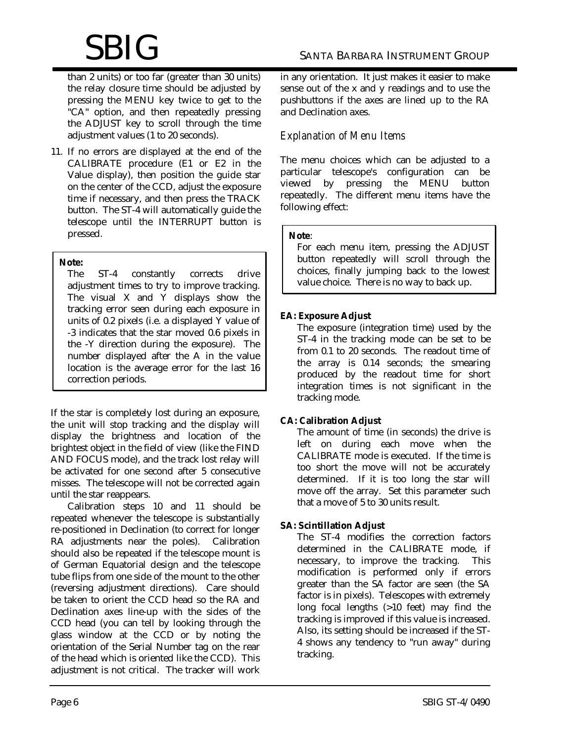# $\operatorname{SBIG}$  santa Barbara Instrument Group

than 2 units) or too far (greater than 30 units) the relay closure time should be adjusted by pressing the MENU key twice to get to the "CA" option, and then repeatedly pressing the ADJUST key to scroll through the time adjustment values (1 to 20 seconds).

11. If no errors are displayed at the end of the CALIBRATE procedure (E1 or E2 in the Value display), then position the guide star on the center of the CCD, adjust the exposure time if necessary, and then press the TRACK button. The ST-4 will automatically guide the telescope until the INTERRUPT button is pressed.

#### **Note:**

The ST-4 constantly corrects drive adjustment times to try to improve tracking. The visual X and Y displays show the tracking error seen during each exposure in units of 0.2 pixels (i.e. a displayed Y value of -3 indicates that the star moved 0.6 pixels in the -Y direction during the exposure). The number displayed after the A in the value location is the average error for the last 16 correction periods.

If the star is completely lost during an exposure, the unit will stop tracking and the display will display the brightness and location of the brightest object in the field of view (like the FIND AND FOCUS mode), and the track lost relay will be activated for one second after 5 consecutive misses. The telescope will not be corrected again until the star reappears.

Calibration steps 10 and 11 should be repeated whenever the telescope is substantially re-positioned in Declination (to correct for longer RA adjustments near the poles). Calibration should also be repeated if the telescope mount is of German Equatorial design and the telescope tube flips from one side of the mount to the other (reversing adjustment directions). Care should be taken to orient the CCD head so the RA and Declination axes line-up with the sides of the CCD head (you can tell by looking through the glass window at the CCD or by noting the orientation of the Serial Number tag on the rear of the head which is oriented like the CCD). This adjustment is not critical. The tracker will work in any orientation. It just makes it easier to make sense out of the x and y readings and to use the pushbuttons if the axes are lined up to the RA and Declination axes.

# *Explanation of Menu Items*

The menu choices which can be adjusted to a particular telescope's configuration can be viewed by pressing the MENU button repeatedly. The different menu items have the following effect:

#### **Note**:

For each menu item, pressing the ADJUST button repeatedly will scroll through the choices, finally jumping back to the lowest value choice. There is no way to back up.

## **EA: Exposure Adjust**

The exposure (integration time) used by the ST-4 in the tracking mode can be set to be from 0.1 to 20 seconds. The readout time of the array is 0.14 seconds; the smearing produced by the readout time for short integration times is not significant in the tracking mode.

## **CA: Calibration Adjust**

The amount of time (in seconds) the drive is left on during each move when the CALIBRATE mode is executed. If the time is too short the move will not be accurately determined. If it is too long the star will move off the array. Set this parameter such that a move of 5 to 30 units result.

## **SA: Scintillation Adjust**

The ST-4 modifies the correction factors determined in the CALIBRATE mode, if necessary, to improve the tracking. This modification is performed only if errors greater than the SA factor are seen (the SA factor is in pixels). Telescopes with extremely long focal lengths (>10 feet) may find the tracking is improved if this value is increased. Also, its setting should be increased if the ST-4 shows any tendency to "run away" during tracking.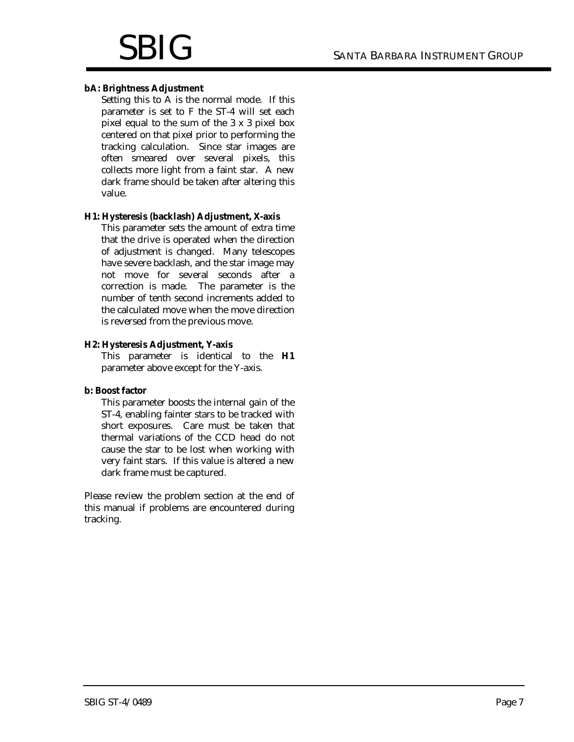#### **bA: Brightness Adjustment**

Setting this to A is the normal mode. If this parameter is set to F the ST-4 will set each pixel equal to the sum of the 3 x 3 pixel box centered on that pixel prior to performing the tracking calculation. Since star images are often smeared over several pixels, this collects more light from a faint star. A new dark frame should be taken after altering this value.

#### **H1: Hysteresis (backlash) Adjustment, X-axis**

This parameter sets the amount of extra time that the drive is operated when the direction of adjustment is changed. Many telescopes have severe backlash, and the star image may not move for several seconds after a correction is made. The parameter is the number of tenth second increments added to the calculated move when the move direction is reversed from the previous move.

#### **H2: Hysteresis Adjustment, Y-axis**

This parameter is identical to the **H1** parameter above except for the Y-axis.

#### **b: Boost factor**

This parameter boosts the internal gain of the ST-4, enabling fainter stars to be tracked with short exposures. Care must be taken that thermal variations of the CCD head do not cause the star to be lost when working with very faint stars. If this value is altered a new dark frame must be captured.

Please review the problem section at the end of this manual if problems are encountered during tracking.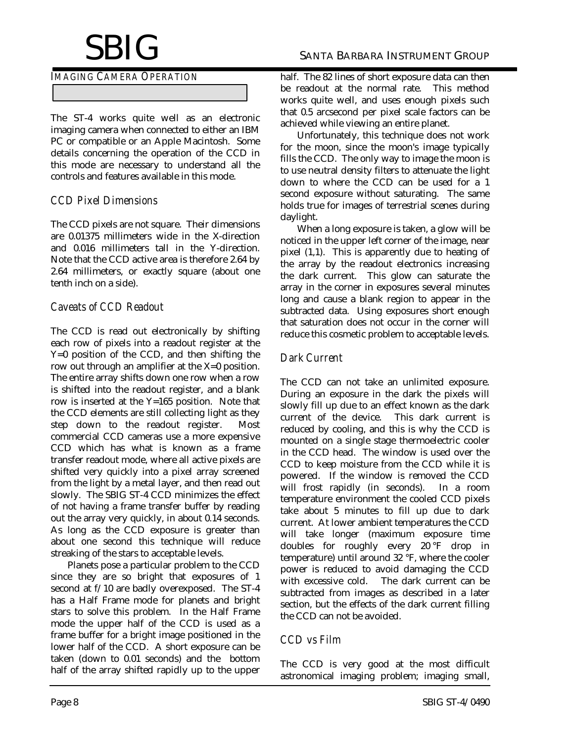#### *IMAGING CAMERA OPERATION*

The ST-4 works quite well as an electronic imaging camera when connected to either an IBM PC or compatible or an Apple Macintosh. Some details concerning the operation of the CCD in this mode are necessary to understand all the controls and features available in this mode.

## *CCD Pixel Dimensions*

The CCD pixels are not square. Their dimensions are 0.01375 millimeters wide in the X-direction and 0.016 millimeters tall in the Y-direction. Note that the CCD active area is therefore 2.64 by 2.64 millimeters, or exactly square (about one tenth inch on a side).

# *Caveats of CCD Readout*

The CCD is read out electronically by shifting each row of pixels into a readout register at the Y=0 position of the CCD, and then shifting the row out through an amplifier at the X=0 position. The entire array shifts down one row when a row is shifted into the readout register, and a blank row is inserted at the Y=165 position. Note that the CCD elements are still collecting light as they step down to the readout register. Most commercial CCD cameras use a more expensive CCD which has what is known as a frame transfer readout mode, where all active pixels are shifted very quickly into a pixel array screened from the light by a metal layer, and then read out slowly. The SBIG ST-4 CCD minimizes the effect of not having a frame transfer buffer by reading out the array very quickly, in about 0.14 seconds. As long as the CCD exposure is greater than about one second this technique will reduce streaking of the stars to acceptable levels.

Planets pose a particular problem to the CCD since they are so bright that exposures of 1 second at f/10 are badly overexposed. The ST-4 has a Half Frame mode for planets and bright stars to solve this problem. In the Half Frame mode the upper half of the CCD is used as a frame buffer for a bright image positioned in the lower half of the CCD. A short exposure can be taken (down to 0.01 seconds) and the bottom half of the array shifted rapidly up to the upper

half. The 82 lines of short exposure data can then be readout at the normal rate. This method works quite well, and uses enough pixels such that 0.5 arcsecond per pixel scale factors can be achieved while viewing an entire planet.

Unfortunately, this technique does not work for the moon, since the moon's image typically fills the CCD. The only way to image the moon is to use neutral density filters to attenuate the light down to where the CCD can be used for a 1 second exposure without saturating. The same holds true for images of terrestrial scenes during daylight.

When a long exposure is taken, a glow will be noticed in the upper left corner of the image, near pixel (1,1). This is apparently due to heating of the array by the readout electronics increasing the dark current. This glow can saturate the array in the corner in exposures several minutes long and cause a blank region to appear in the subtracted data. Using exposures short enough that saturation does not occur in the corner will reduce this cosmetic problem to acceptable levels.

## *Dark Current*

The CCD can not take an unlimited exposure. During an exposure in the dark the pixels will slowly fill up due to an effect known as the dark<br>current of the device. This dark current is current of the device. reduced by cooling, and this is why the CCD is mounted on a single stage thermoelectric cooler in the CCD head. The window is used over the CCD to keep moisture from the CCD while it is powered. If the window is removed the CCD will frost rapidly (in seconds). In a room temperature environment the cooled CCD pixels take about 5 minutes to fill up due to dark current. At lower ambient temperatures the CCD will take longer (maximum exposure time doubles for roughly every 20 °F drop in temperature) until around 32 °F, where the cooler power is reduced to avoid damaging the CCD with excessive cold. The dark current can be subtracted from images as described in a later section, but the effects of the dark current filling the CCD can not be avoided.

# *CCD vs Film*

The CCD is very good at the most difficult astronomical imaging problem; imaging small,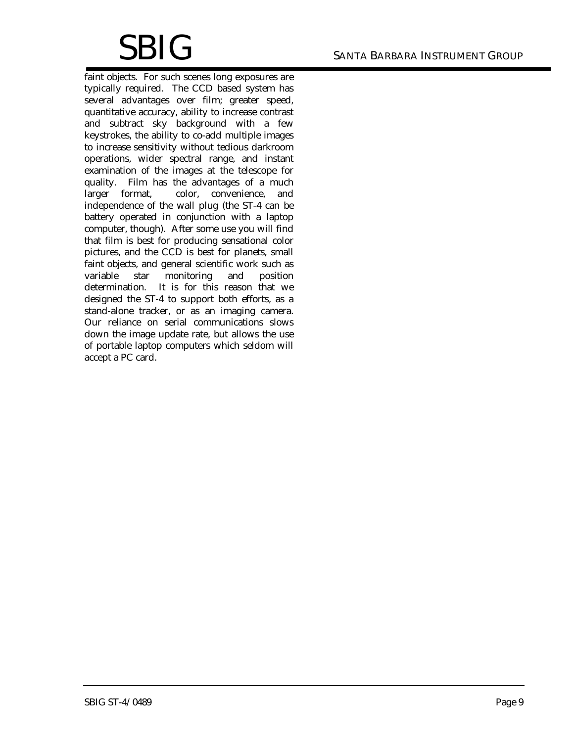faint objects. For such scenes long exposures are typically required. The CCD based system has several advantages over film; greater speed, quantitative accuracy, ability to increase contrast and subtract sky background with a few keystrokes, the ability to co-add multiple images to increase sensitivity without tedious darkroom operations, wider spectral range, and instant examination of the images at the telescope for quality. Film has the advantages of a much larger format, color, convenience, and independence of the wall plug (the ST-4 can be battery operated in conjunction with a laptop computer, though). After some use you will find that film is best for producing sensational color pictures, and the CCD is best for planets, small faint objects, and general scientific work such as variable star monitoring and position determination. It is for this reason that we designed the ST-4 to support both efforts, as a stand-alone tracker, or as an imaging camera. Our reliance on serial communications slows down the image update rate, but allows the use of portable laptop computers which seldom will accept a PC card.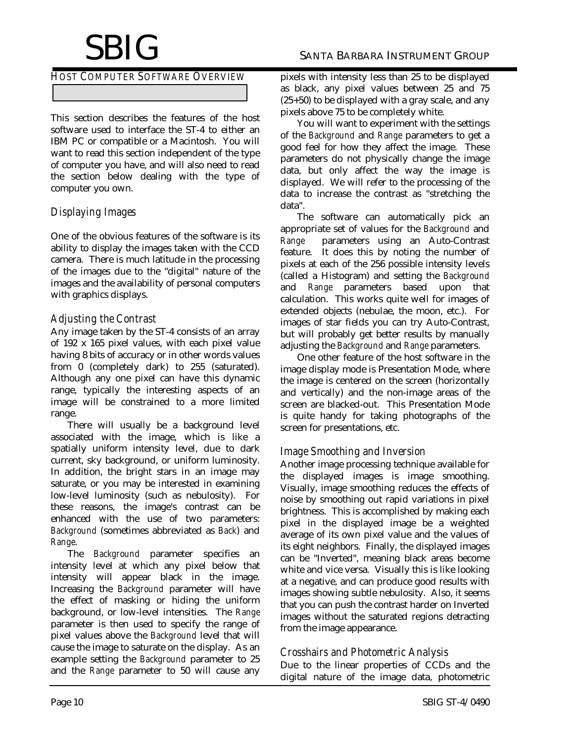# $\operatorname{SBIG}$  santa Barbara Instrument Group

*HOST COMPUTER SOFTWARE OVERVIEW*

This section describes the features of the host software used to interface the ST-4 to either an IBM PC or compatible or a Macintosh. You will want to read this section independent of the type of computer you have, and will also need to read the section below dealing with the type of computer you own.

# *Displaying Images*

One of the obvious features of the software is its ability to display the images taken with the CCD camera. There is much latitude in the processing of the images due to the "digital" nature of the images and the availability of personal computers with graphics displays.

## *Adjusting the Contrast*

Any image taken by the ST-4 consists of an array of 192 x 165 pixel values, with each pixel value having 8 bits of accuracy or in other words values from 0 (completely dark) to 255 (saturated). Although any one pixel can have this dynamic range, typically the interesting aspects of an image will be constrained to a more limited range.

There will usually be a background level associated with the image, which is like a spatially uniform intensity level, due to dark current, sky background, or uniform luminosity. In addition, the bright stars in an image may saturate, or you may be interested in examining low-level luminosity (such as nebulosity). For these reasons, the image's contrast can be enhanced with the use of two parameters: *Background* (sometimes abbreviated as *Back*) and *Range*.

The *Background* parameter specifies an intensity level at which any pixel below that intensity will appear black in the image. Increasing the *Background* parameter will have the effect of masking or hiding the uniform background, or low-level intensities. The *Range* parameter is then used to specify the range of pixel values above the *Background* level that will cause the image to saturate on the display. As an example setting the *Background* parameter to 25 and the *Range* parameter to 50 will cause any

pixels with intensity less than 25 to be displayed as black, any pixel values between 25 and 75 (25+50) to be displayed with a gray scale, and any pixels above 75 to be completely white.

You will want to experiment with the settings of the *Background* and *Range* parameters to get a good feel for how they affect the image. These parameters do not physically change the image data, but only affect the way the image is displayed. We will refer to the processing of the data to increase the contrast as "stretching the data".

The software can automatically pick an appropriate set of values for the *Background* and *Range* parameters using an Auto-Contrast feature. It does this by noting the number of pixels at each of the 256 possible intensity levels (called a Histogram) and setting the *Background* and *Range* parameters based upon that calculation. This works quite well for images of extended objects (nebulae, the moon, etc.). For images of star fields you can try Auto-Contrast, but will probably get better results by manually adjusting the *Background* and *Range* parameters.

One other feature of the host software in the image display mode is Presentation Mode, where the image is centered on the screen (horizontally and vertically) and the non-image areas of the screen are blacked-out. This Presentation Mode is quite handy for taking photographs of the screen for presentations, etc.

## *Image Smoothing and Inversion*

Another image processing technique available for the displayed images is image smoothing. Visually, image smoothing reduces the effects of noise by smoothing out rapid variations in pixel brightness. This is accomplished by making each pixel in the displayed image be a weighted average of its own pixel value and the values of its eight neighbors. Finally, the displayed images can be "Inverted", meaning black areas become white and vice versa. Visually this is like looking at a negative, and can produce good results with images showing subtle nebulosity. Also, it seems that you can push the contrast harder on Inverted images without the saturated regions detracting from the image appearance.

## *Crosshairs and Photometric Analysis*

Due to the linear properties of CCDs and the digital nature of the image data, photometric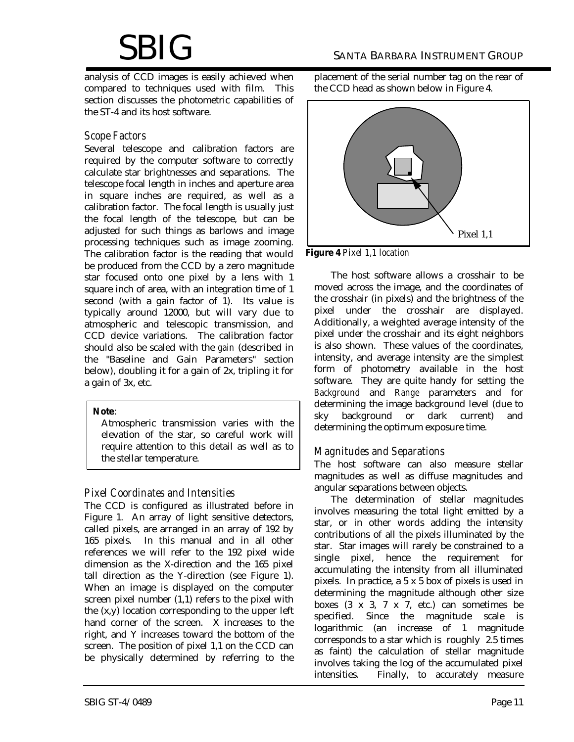analysis of CCD images is easily achieved when compared to techniques used with film. This section discusses the photometric capabilities of the ST-4 and its host software.

### *Scope Factors*

Several telescope and calibration factors are required by the computer software to correctly calculate star brightnesses and separations. The telescope focal length in inches and aperture area in square inches are required, as well as a calibration factor. The focal length is usually just the focal length of the telescope, but can be adjusted for such things as barlows and image processing techniques such as image zooming. The calibration factor is the reading that would be produced from the CCD by a zero magnitude star focused onto one pixel by a lens with 1 square inch of area, with an integration time of 1 second (with a gain factor of 1). Its value is typically around 12000, but will vary due to atmospheric and telescopic transmission, and CCD device variations. The calibration factor should also be scaled with the *gain* (described in the "Baseline and Gain Parameters" section below), doubling it for a gain of 2x, tripling it for a gain of 3x, etc.

#### **Note**:

Atmospheric transmission varies with the elevation of the star, so careful work will require attention to this detail as well as to the stellar temperature.

## *Pixel Coordinates and Intensities*

The CCD is configured as illustrated before in Figure 1. An array of light sensitive detectors, called pixels, are arranged in an array of 192 by 165 pixels. In this manual and in all other references we will refer to the 192 pixel wide dimension as the X-direction and the 165 pixel tall direction as the Y-direction (see Figure 1). When an image is displayed on the computer screen pixel number (1,1) refers to the pixel with the (x,y) location corresponding to the upper left hand corner of the screen. X increases to the right, and Y increases toward the bottom of the screen. The position of pixel 1,1 on the CCD can be physically determined by referring to the placement of the serial number tag on the rear of the CCD head as shown below in Figure 4.



**Figure 4** *Pixel 1,1 location*

The host software allows a crosshair to be moved across the image, and the coordinates of the crosshair (in pixels) and the brightness of the pixel under the crosshair are displayed. Additionally, a weighted average intensity of the pixel under the crosshair and its eight neighbors is also shown. These values of the coordinates, intensity, and average intensity are the simplest form of photometry available in the host software. They are quite handy for setting the *Background* and *Range* parameters and for determining the image background level (due to sky background or dark current) and determining the optimum exposure time.

## *Magnitudes and Separations*

The host software can also measure stellar magnitudes as well as diffuse magnitudes and angular separations between objects.

The determination of stellar magnitudes involves measuring the total light emitted by a star, or in other words adding the intensity contributions of all the pixels illuminated by the star. Star images will rarely be constrained to a single pixel, hence the requirement for accumulating the intensity from all illuminated pixels. In practice, a 5 x 5 box of pixels is used in determining the magnitude although other size boxes  $(3 \times 3, 7 \times 7, etc.)$  can sometimes be specified. Since the magnitude scale is logarithmic (an increase of 1 magnitude corresponds to a star which is roughly 2.5 times as faint) the calculation of stellar magnitude involves taking the log of the accumulated pixel intensities. Finally, to accurately measure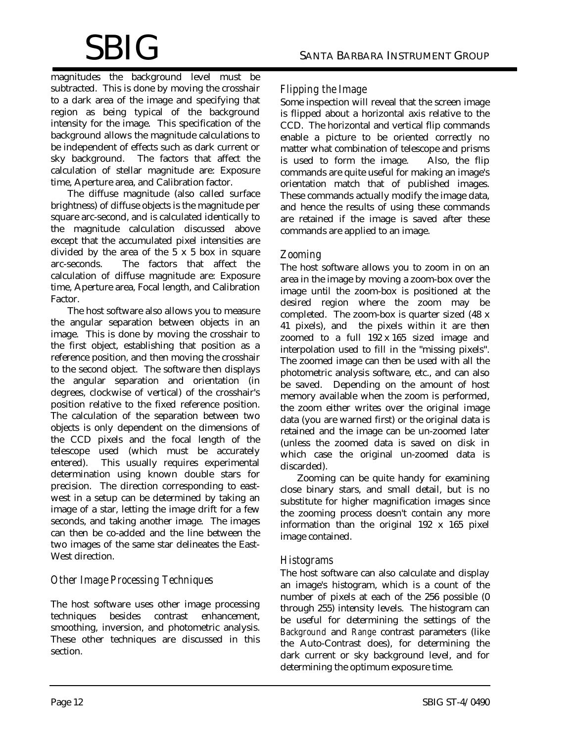magnitudes the background level must be subtracted. This is done by moving the crosshair to a dark area of the image and specifying that region as being typical of the background intensity for the image. This specification of the background allows the magnitude calculations to be independent of effects such as dark current or sky background. The factors that affect the calculation of stellar magnitude are: Exposure time, Aperture area, and Calibration factor.

The diffuse magnitude (also called surface brightness) of diffuse objects is the magnitude per square arc-second, and is calculated identically to the magnitude calculation discussed above except that the accumulated pixel intensities are divided by the area of the  $5 \times 5$  box in square arc-seconds. The factors that affect the calculation of diffuse magnitude are: Exposure time, Aperture area, Focal length, and Calibration Factor.

The host software also allows you to measure the angular separation between objects in an image. This is done by moving the crosshair to the first object, establishing that position as a reference position, and then moving the crosshair to the second object. The software then displays the angular separation and orientation (in degrees, clockwise of vertical) of the crosshair's position relative to the fixed reference position. The calculation of the separation between two objects is only dependent on the dimensions of the CCD pixels and the focal length of the telescope used (which must be accurately entered). This usually requires experimental determination using known double stars for precision. The direction corresponding to eastwest in a setup can be determined by taking an image of a star, letting the image drift for a few seconds, and taking another image. The images can then be co-added and the line between the two images of the same star delineates the East-West direction.

# *Other Image Processing Techniques*

The host software uses other image processing techniques besides contrast enhancement, smoothing, inversion, and photometric analysis. These other techniques are discussed in this section.

## *Flipping the Image*

Some inspection will reveal that the screen image is flipped about a horizontal axis relative to the CCD. The horizontal and vertical flip commands enable a picture to be oriented correctly no matter what combination of telescope and prisms is used to form the image. Also, the flip commands are quite useful for making an image's orientation match that of published images. These commands actually modify the image data, and hence the results of using these commands are retained if the image is saved after these commands are applied to an image.

### *Zooming*

The host software allows you to zoom in on an area in the image by moving a zoom-box over the image until the zoom-box is positioned at the desired region where the zoom may be completed. The zoom-box is quarter sized (48 x 41 pixels), and the pixels within it are then zoomed to a full 192 x 165 sized image and interpolation used to fill in the "missing pixels". The zoomed image can then be used with all the photometric analysis software, etc., and can also be saved. Depending on the amount of host memory available when the zoom is performed, the zoom either writes over the original image data (you are warned first) or the original data is retained and the image can be un-zoomed later (unless the zoomed data is saved on disk in which case the original un-zoomed data is discarded).

Zooming can be quite handy for examining close binary stars, and small detail, but is no substitute for higher magnification images since the zooming process doesn't contain any more information than the original 192 x 165 pixel image contained.

#### *Histograms*

The host software can also calculate and display an image's histogram, which is a count of the number of pixels at each of the 256 possible (0 through 255) intensity levels. The histogram can be useful for determining the settings of the *Background* and *Range* contrast parameters (like the Auto-Contrast does), for determining the dark current or sky background level, and for determining the optimum exposure time.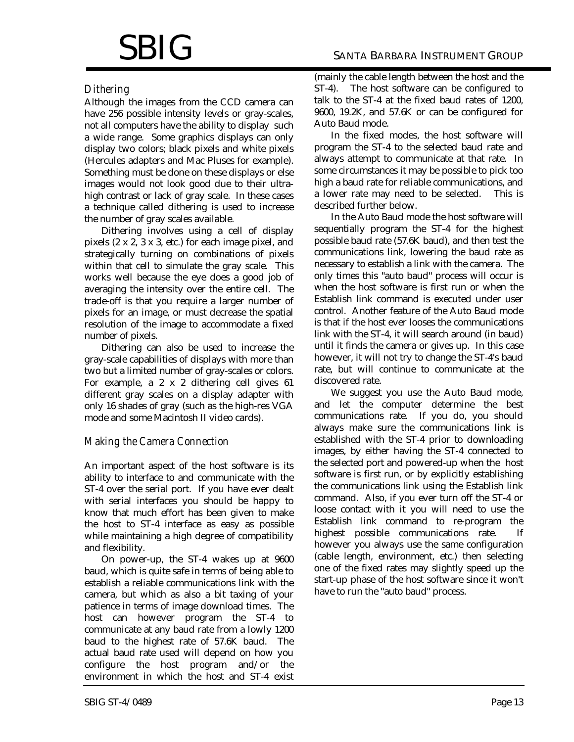#### *Dithering*

Although the images from the CCD camera can have 256 possible intensity levels or gray-scales, not all computers have the ability to display such a wide range. Some graphics displays can only display two colors; black pixels and white pixels (Hercules adapters and Mac Pluses for example). Something must be done on these displays or else images would not look good due to their ultrahigh contrast or lack of gray scale. In these cases a technique called dithering is used to increase the number of gray scales available.

Dithering involves using a cell of display pixels (2 x 2, 3 x 3, etc.) for each image pixel, and strategically turning on combinations of pixels within that cell to simulate the gray scale. This works well because the eye does a good job of averaging the intensity over the entire cell. The trade-off is that you require a larger number of pixels for an image, or must decrease the spatial resolution of the image to accommodate a fixed number of pixels.

Dithering can also be used to increase the gray-scale capabilities of displays with more than two but a limited number of gray-scales or colors. For example, a 2 x 2 dithering cell gives 61 different gray scales on a display adapter with only 16 shades of gray (such as the high-res VGA mode and some Macintosh II video cards).

#### *Making the Camera Connection*

An important aspect of the host software is its ability to interface to and communicate with the ST-4 over the serial port. If you have ever dealt with serial interfaces you should be happy to know that much effort has been given to make the host to ST-4 interface as easy as possible while maintaining a high degree of compatibility and flexibility.

On power-up, the ST-4 wakes up at 9600 baud, which is quite safe in terms of being able to establish a reliable communications link with the camera, but which as also a bit taxing of your patience in terms of image download times. The host can however program the ST-4 to communicate at any baud rate from a lowly 1200 baud to the highest rate of 57.6K baud. The actual baud rate used will depend on how you configure the host program and/or the environment in which the host and ST-4 exist

(mainly the cable length between the host and the ST-4). The host software can be configured to talk to the ST-4 at the fixed baud rates of 1200, 9600, 19.2K, and 57.6K or can be configured for Auto Baud mode.

In the fixed modes, the host software will program the ST-4 to the selected baud rate and always attempt to communicate at that rate. In some circumstances it may be possible to pick too high a baud rate for reliable communications, and a lower rate may need to be selected. This is described further below.

In the Auto Baud mode the host software will sequentially program the ST-4 for the highest possible baud rate (57.6K baud), and then test the communications link, lowering the baud rate as necessary to establish a link with the camera. The only times this "auto baud" process will occur is when the host software is first run or when the Establish link command is executed under user control. Another feature of the Auto Baud mode is that if the host ever looses the communications link with the ST-4, it will search around (in baud) until it finds the camera or gives up. In this case however, it will not try to change the ST-4's baud rate, but will continue to communicate at the discovered rate.

We suggest you use the Auto Baud mode, and let the computer determine the best communications rate. If you do, you should always make sure the communications link is established with the ST-4 prior to downloading images, by either having the ST-4 connected to the selected port and powered-up when the host software is first run, or by explicitly establishing the communications link using the Establish link command. Also, if you ever turn off the ST-4 or loose contact with it you will need to use the Establish link command to re-program the highest possible communications rate. If however you always use the same configuration (cable length, environment, etc.) then selecting one of the fixed rates may slightly speed up the start-up phase of the host software since it won't have to run the "auto baud" process.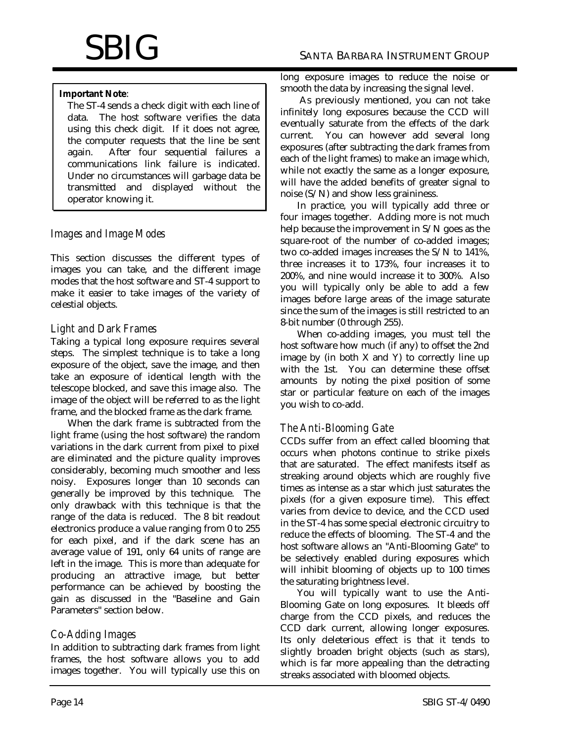#### **Important Note**:

The ST-4 sends a check digit with each line of data. The host software verifies the data using this check digit. If it does not agree, the computer requests that the line be sent again. After four sequential failures a communications link failure is indicated. Under no circumstances will garbage data be transmitted and displayed without the operator knowing it.

## *Images and Image Modes*

This section discusses the different types of images you can take, and the different image modes that the host software and ST-4 support to make it easier to take images of the variety of celestial objects.

## *Light and Dark Frames*

Taking a typical long exposure requires several steps. The simplest technique is to take a long exposure of the object, save the image, and then take an exposure of identical length with the telescope blocked, and save this image also. The image of the object will be referred to as the light frame, and the blocked frame as the dark frame.

When the dark frame is subtracted from the light frame (using the host software) the random variations in the dark current from pixel to pixel are eliminated and the picture quality improves considerably, becoming much smoother and less noisy. Exposures longer than 10 seconds can generally be improved by this technique. The only drawback with this technique is that the range of the data is reduced. The 8 bit readout electronics produce a value ranging from 0 to 255 for each pixel, and if the dark scene has an average value of 191, only 64 units of range are left in the image. This is more than adequate for producing an attractive image, but better performance can be achieved by boosting the gain as discussed in the "Baseline and Gain Parameters" section below.

## *Co-Adding Images*

In addition to subtracting dark frames from light frames, the host software allows you to add images together. You will typically use this on long exposure images to reduce the noise or smooth the data by increasing the signal level.

 As previously mentioned, you can not take infinitely long exposures because the CCD will eventually saturate from the effects of the dark current. You can however add several long exposures (after subtracting the dark frames from each of the light frames) to make an image which, while not exactly the same as a longer exposure, will have the added benefits of greater signal to noise (S/N) and show less graininess.

In practice, you will typically add three or four images together. Adding more is not much help because the improvement in S/N goes as the square-root of the number of co-added images; two co-added images increases the S/N to 141%, three increases it to 173%, four increases it to 200%, and nine would increase it to 300%. Also you will typically only be able to add a few images before large areas of the image saturate since the sum of the images is still restricted to an 8-bit number (0 through 255).

When co-adding images, you must tell the host software how much (if any) to offset the 2nd image by (in both  $X$  and  $Y$ ) to correctly line up with the 1st. You can determine these offset amounts by noting the pixel position of some star or particular feature on each of the images you wish to co-add.

## *The Anti-Blooming Gate*

CCDs suffer from an effect called blooming that occurs when photons continue to strike pixels that are saturated. The effect manifests itself as streaking around objects which are roughly five times as intense as a star which just saturates the pixels (for a given exposure time). This effect varies from device to device, and the CCD used in the ST-4 has some special electronic circuitry to reduce the effects of blooming. The ST-4 and the host software allows an "Anti-Blooming Gate" to be selectively enabled during exposures which will inhibit blooming of objects up to 100 times the saturating brightness level.

You will typically want to use the Anti-Blooming Gate on long exposures. It bleeds off charge from the CCD pixels, and reduces the CCD dark current, allowing longer exposures. Its only deleterious effect is that it tends to slightly broaden bright objects (such as stars), which is far more appealing than the detracting streaks associated with bloomed objects.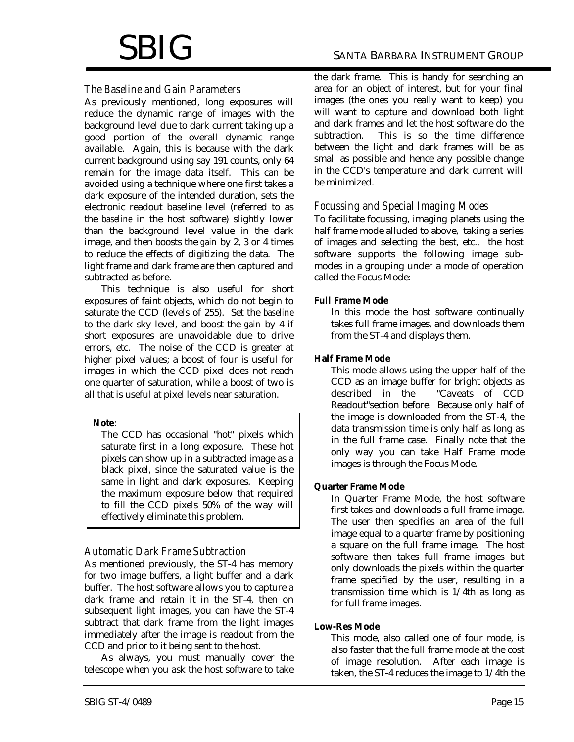# $\operatorname{SBIG}$  santa Barbara Instrument Group

# *The Baseline and Gain Parameters*

As previously mentioned, long exposures will reduce the dynamic range of images with the background level due to dark current taking up a good portion of the overall dynamic range available. Again, this is because with the dark current background using say 191 counts, only 64 remain for the image data itself. This can be avoided using a technique where one first takes a dark exposure of the intended duration, sets the electronic readout baseline level (referred to as the *baseline* in the host software) slightly lower than the background level value in the dark image, and then boosts the *gain* by 2, 3 or 4 times to reduce the effects of digitizing the data. The light frame and dark frame are then captured and subtracted as before.

This technique is also useful for short exposures of faint objects, which do not begin to saturate the CCD (levels of 255). Set the *baseline* to the dark sky level, and boost the *gain* by 4 if short exposures are unavoidable due to drive errors, etc. The noise of the CCD is greater at higher pixel values; a boost of four is useful for images in which the CCD pixel does not reach one quarter of saturation, while a boost of two is all that is useful at pixel levels near saturation.

#### **Note**:

The CCD has occasional "hot" pixels which saturate first in a long exposure. These hot pixels can show up in a subtracted image as a black pixel, since the saturated value is the same in light and dark exposures. Keeping the maximum exposure below that required to fill the CCD pixels 50% of the way will effectively eliminate this problem.

# *Automatic Dark Frame Subtraction*

As mentioned previously, the ST-4 has memory for two image buffers, a light buffer and a dark buffer. The host software allows you to capture a dark frame and retain it in the ST-4, then on subsequent light images, you can have the ST-4 subtract that dark frame from the light images immediately after the image is readout from the CCD and prior to it being sent to the host.

As always, you must manually cover the telescope when you ask the host software to take the dark frame. This is handy for searching an area for an object of interest, but for your final images (the ones you really want to keep) you will want to capture and download both light and dark frames and let the host software do the subtraction. This is so the time difference between the light and dark frames will be as small as possible and hence any possible change in the CCD's temperature and dark current will be minimized.

### *Focussing and Special Imaging Modes*

To facilitate focussing, imaging planets using the half frame mode alluded to above, taking a series of images and selecting the best, etc., the host software supports the following image submodes in a grouping under a mode of operation called the Focus Mode:

#### **Full Frame Mode**

In this mode the host software continually takes full frame images, and downloads them from the ST-4 and displays them.

#### **Half Frame Mode**

This mode allows using the upper half of the CCD as an image buffer for bright objects as described in the "Caveats of CCD Readout"section before. Because only half of the image is downloaded from the ST-4, the data transmission time is only half as long as in the full frame case. Finally note that the only way you can take Half Frame mode images is through the Focus Mode.

#### **Quarter Frame Mode**

In Quarter Frame Mode, the host software first takes and downloads a full frame image. The user then specifies an area of the full image equal to a quarter frame by positioning a square on the full frame image. The host software then takes full frame images but only downloads the pixels within the quarter frame specified by the user, resulting in a transmission time which is 1/4th as long as for full frame images.

#### **Low-Res Mode**

This mode, also called one of four mode, is also faster that the full frame mode at the cost of image resolution. After each image is taken, the ST-4 reduces the image to 1/4th the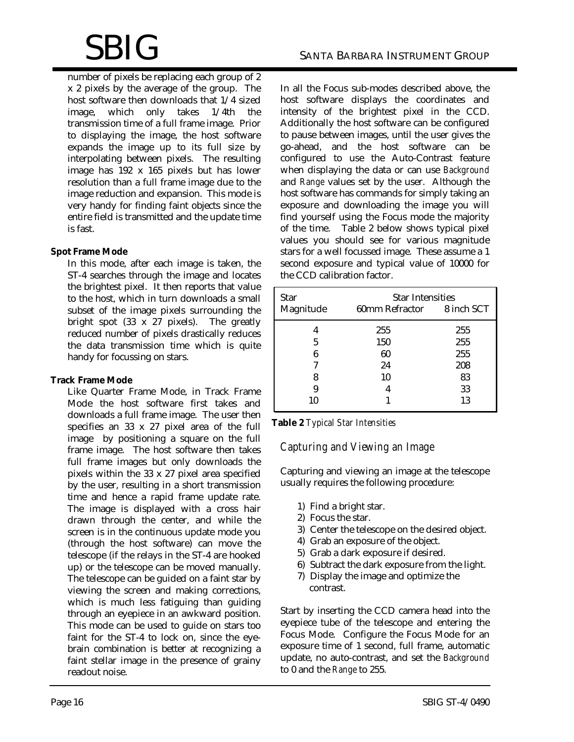number of pixels be replacing each group of 2 x 2 pixels by the average of the group. The host software then downloads that 1/4 sized image, which only takes 1/4th the transmission time of a full frame image. Prior to displaying the image, the host software expands the image up to its full size by interpolating between pixels. The resulting image has 192 x 165 pixels but has lower resolution than a full frame image due to the image reduction and expansion. This mode is very handy for finding faint objects since the entire field is transmitted and the update time is fast.

#### **Spot Frame Mode**

In this mode, after each image is taken, the ST-4 searches through the image and locates the brightest pixel. It then reports that value to the host, which in turn downloads a small subset of the image pixels surrounding the bright spot (33 x 27 pixels). The greatly reduced number of pixels drastically reduces the data transmission time which is quite handy for focussing on stars.

#### **Track Frame Mode**

Like Quarter Frame Mode, in Track Frame Mode the host software first takes and downloads a full frame image. The user then specifies an 33 x 27 pixel area of the full image by positioning a square on the full frame image. The host software then takes full frame images but only downloads the pixels within the 33 x 27 pixel area specified by the user, resulting in a short transmission time and hence a rapid frame update rate. The image is displayed with a cross hair drawn through the center, and while the screen is in the continuous update mode you (through the host software) can move the telescope (if the relays in the ST-4 are hooked up) or the telescope can be moved manually. The telescope can be guided on a faint star by viewing the screen and making corrections, which is much less fatiguing than guiding through an eyepiece in an awkward position. This mode can be used to guide on stars too faint for the ST-4 to lock on, since the eyebrain combination is better at recognizing a faint stellar image in the presence of grainy readout noise.

In all the Focus sub-modes described above, the host software displays the coordinates and intensity of the brightest pixel in the CCD. Additionally the host software can be configured to pause between images, until the user gives the go-ahead, and the host software can be configured to use the Auto-Contrast feature when displaying the data or can use *Background* and *Range* values set by the user. Although the host software has commands for simply taking an exposure and downloading the image you will find yourself using the Focus mode the majority of the time. Table 2 below shows typical pixel values you should see for various magnitude stars for a well focussed image. These assume a 1 second exposure and typical value of 10000 for the CCD calibration factor.

| Star      | <b>Star Intensities</b>   |     |  |
|-----------|---------------------------|-----|--|
| Magnitude | 60mm Refractor 8 inch SCT |     |  |
|           | 255                       | 255 |  |
| 5         | 150                       | 255 |  |
| 6         | 60                        | 255 |  |
| 7         | 24                        | 208 |  |
| 8         | 10                        | 83  |  |
| 9         |                           | 33  |  |
| 10        |                           | 13  |  |

#### **Table 2** *Typical Star Intensities*

## *Capturing and Viewing an Image*

Capturing and viewing an image at the telescope usually requires the following procedure:

- 1) Find a bright star.
- 2) Focus the star.
- 3) Center the telescope on the desired object.
- 4) Grab an exposure of the object.
- 5) Grab a dark exposure if desired.
- 6) Subtract the dark exposure from the light.
- 7) Display the image and optimize the contrast.

Start by inserting the CCD camera head into the eyepiece tube of the telescope and entering the Focus Mode. Configure the Focus Mode for an exposure time of 1 second, full frame, automatic update, no auto-contrast, and set the *Background* to 0 and the *Range* to 255.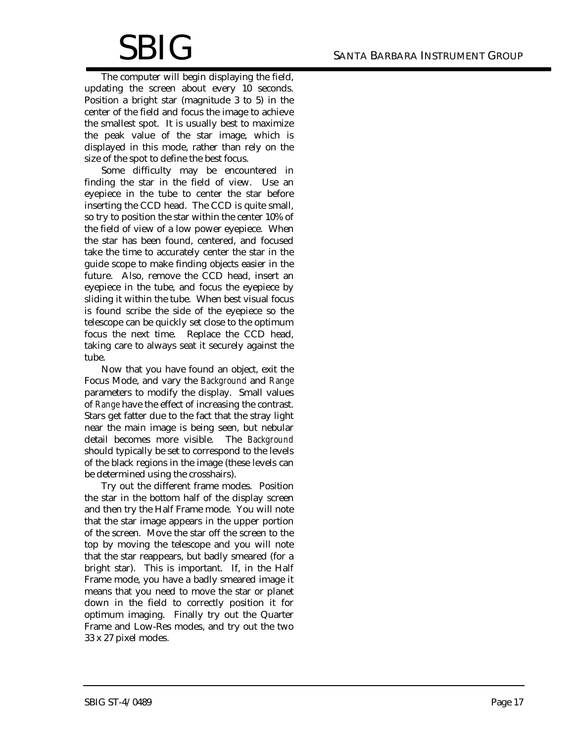The computer will begin displaying the field, updating the screen about every 10 seconds. Position a bright star (magnitude 3 to 5) in the center of the field and focus the image to achieve the smallest spot. It is usually best to maximize the peak value of the star image, which is displayed in this mode, rather than rely on the size of the spot to define the best focus.

Some difficulty may be encountered in finding the star in the field of view. Use an eyepiece in the tube to center the star before inserting the CCD head. The CCD is quite small, so try to position the star within the center 10% of the field of view of a low power eyepiece. When the star has been found, centered, and focused take the time to accurately center the star in the guide scope to make finding objects easier in the future. Also, remove the CCD head, insert an eyepiece in the tube, and focus the eyepiece by sliding it within the tube. When best visual focus is found scribe the side of the eyepiece so the telescope can be quickly set close to the optimum focus the next time. Replace the CCD head, taking care to always seat it securely against the tube.

Now that you have found an object, exit the Focus Mode, and vary the *Background* and *Range* parameters to modify the display. Small values of *Range* have the effect of increasing the contrast. Stars get fatter due to the fact that the stray light near the main image is being seen, but nebular detail becomes more visible. The *Background* should typically be set to correspond to the levels of the black regions in the image (these levels can be determined using the crosshairs).

Try out the different frame modes. Position the star in the bottom half of the display screen and then try the Half Frame mode. You will note that the star image appears in the upper portion of the screen. Move the star off the screen to the top by moving the telescope and you will note that the star reappears, but badly smeared (for a bright star). This is important. If, in the Half Frame mode, you have a badly smeared image it means that you need to move the star or planet down in the field to correctly position it for optimum imaging. Finally try out the Quarter Frame and Low-Res modes, and try out the two 33 x 27 pixel modes.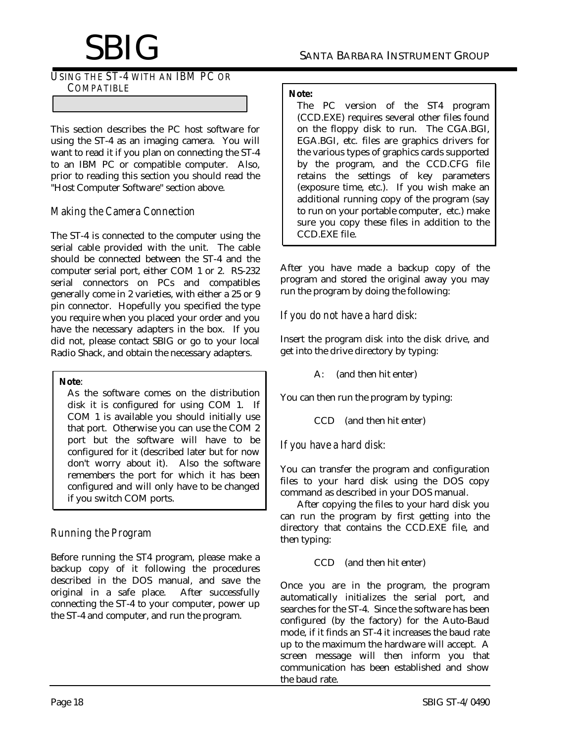*USING THE ST-4 WITH AN IBM PC OR COMPATIBLE*

This section describes the PC host software for using the ST-4 as an imaging camera. You will want to read it if you plan on connecting the ST-4 to an IBM PC or compatible computer. Also, prior to reading this section you should read the "Host Computer Software" section above.

## *Making the Camera Connection*

The ST-4 is connected to the computer using the serial cable provided with the unit. The cable should be connected between the ST-4 and the computer serial port, either COM 1 or 2. RS-232 serial connectors on PCs and compatibles generally come in 2 varieties, with either a 25 or 9 pin connector. Hopefully you specified the type you require when you placed your order and you have the necessary adapters in the box. If you did not, please contact SBIG or go to your local Radio Shack, and obtain the necessary adapters.

#### **Note**:

As the software comes on the distribution disk it is configured for using COM 1. If COM 1 is available you should initially use that port. Otherwise you can use the COM 2 port but the software will have to be configured for it (described later but for now don't worry about it). Also the software remembers the port for which it has been configured and will only have to be changed if you switch COM ports.

# *Running the Program*

Before running the ST4 program, please make a backup copy of it following the procedures described in the DOS manual, and save the original in a safe place. After successfully connecting the ST-4 to your computer, power up the ST-4 and computer, and run the program.

#### **Note:**

The PC version of the ST4 program (CCD.EXE) requires several other files found on the floppy disk to run. The CGA.BGI, EGA.BGI, etc. files are graphics drivers for the various types of graphics cards supported by the program, and the CCD.CFG file retains the settings of key parameters (exposure time, etc.). If you wish make an additional running copy of the program (say to run on your portable computer, etc.) make sure you copy these files in addition to the CCD.EXE file.

After you have made a backup copy of the program and stored the original away you may run the program by doing the following:

*If you do not have a hard disk:*

Insert the program disk into the disk drive, and get into the drive directory by typing:

A: (and then hit enter)

You can then run the program by typing:

CCD (and then hit enter)

## *If you have a hard disk:*

You can transfer the program and configuration files to your hard disk using the DOS copy command as described in your DOS manual.

After copying the files to your hard disk you can run the program by first getting into the directory that contains the CCD.EXE file, and then typing:

CCD (and then hit enter)

Once you are in the program, the program automatically initializes the serial port, and searches for the ST-4. Since the software has been configured (by the factory) for the Auto-Baud mode, if it finds an ST-4 it increases the baud rate up to the maximum the hardware will accept. A screen message will then inform you that communication has been established and show the baud rate.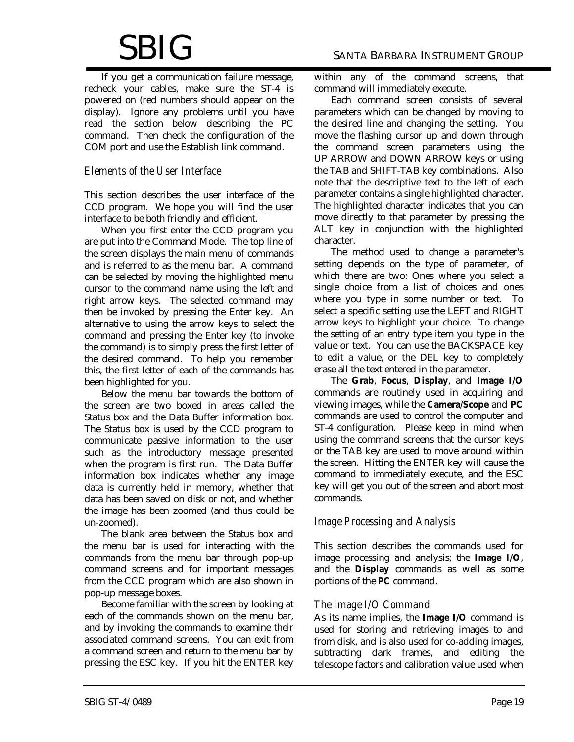# $\operatorname{SBIG}$  santa Barbara Instrument Group

If you get a communication failure message, recheck your cables, make sure the ST-4 is powered on (red numbers should appear on the display). Ignore any problems until you have read the section below describing the PC command. Then check the configuration of the COM port and use the Establish link command.

### *Elements of the User Interface*

This section describes the user interface of the CCD program. We hope you will find the user interface to be both friendly and efficient.

When you first enter the CCD program you are put into the Command Mode. The top line of the screen displays the main menu of commands and is referred to as the menu bar. A command can be selected by moving the highlighted menu cursor to the command name using the left and right arrow keys. The selected command may then be invoked by pressing the Enter key. An alternative to using the arrow keys to select the command and pressing the Enter key (to invoke the command) is to simply press the first letter of the desired command. To help you remember this, the first letter of each of the commands has been highlighted for you.

Below the menu bar towards the bottom of the screen are two boxed in areas called the Status box and the Data Buffer information box. The Status box is used by the CCD program to communicate passive information to the user such as the introductory message presented when the program is first run. The Data Buffer information box indicates whether any image data is currently held in memory, whether that data has been saved on disk or not, and whether the image has been zoomed (and thus could be un-zoomed).

The blank area between the Status box and the menu bar is used for interacting with the commands from the menu bar through pop-up command screens and for important messages from the CCD program which are also shown in pop-up message boxes.

Become familiar with the screen by looking at each of the commands shown on the menu bar, and by invoking the commands to examine their associated command screens. You can exit from a command screen and return to the menu bar by pressing the ESC key. If you hit the ENTER key within any of the command screens, that command will immediately execute.

Each command screen consists of several parameters which can be changed by moving to the desired line and changing the setting. You move the flashing cursor up and down through the command screen parameters using the UP ARROW and DOWN ARROW keys or using the TAB and SHIFT-TAB key combinations. Also note that the descriptive text to the left of each parameter contains a single highlighted character. The highlighted character indicates that you can move directly to that parameter by pressing the ALT key in conjunction with the highlighted character.

The method used to change a parameter's setting depends on the type of parameter, of which there are two: Ones where you select a single choice from a list of choices and ones where you type in some number or text. To select a specific setting use the LEFT and RIGHT arrow keys to highlight your choice. To change the setting of an entry type item you type in the value or text. You can use the BACKSPACE key to edit a value, or the DEL key to completely erase all the text entered in the parameter.

The **Grab**, **Focus**, **Display**, and **Image I/O** commands are routinely used in acquiring and viewing images, while the **Camera/Scope** and **PC** commands are used to control the computer and ST-4 configuration. Please keep in mind when using the command screens that the cursor keys or the TAB key are used to move around within the screen. Hitting the ENTER key will cause the command to immediately execute, and the ESC key will get you out of the screen and abort most commands.

## *Image Processing and Analysis*

This section describes the commands used for image processing and analysis; the **Image I/O**, and the **Display** commands as well as some portions of the **PC** command.

#### *The Image I/O Command*

As its name implies, the **Image I/O** command is used for storing and retrieving images to and from disk, and is also used for co-adding images, subtracting dark frames, and editing the telescope factors and calibration value used when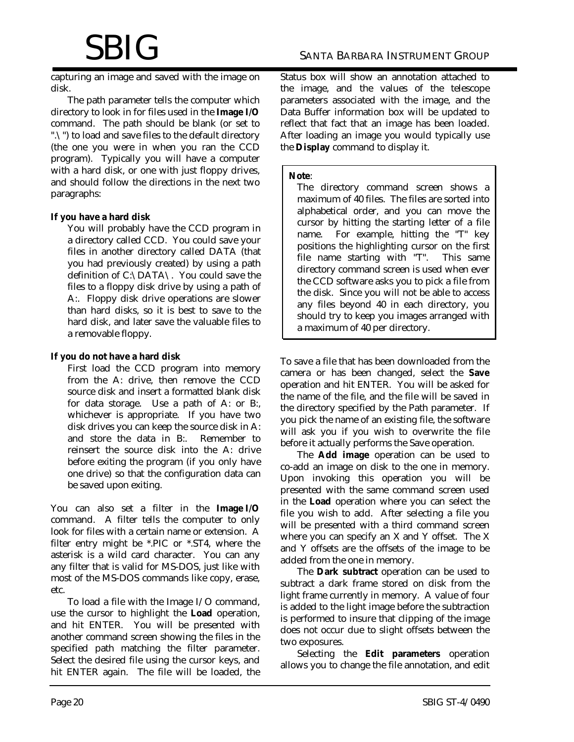capturing an image and saved with the image on disk.

The path parameter tells the computer which directory to look in for files used in the **Image I/O** command. The path should be blank (or set to ".\") to load and save files to the default directory (the one you were in when you ran the CCD program). Typically you will have a computer with a hard disk, or one with just floppy drives, and should follow the directions in the next two paragraphs:

#### **If you have a hard disk**

You will probably have the CCD program in a directory called CCD. You could save your files in another directory called DATA (that you had previously created) by using a path definition of C:\DATA\. You could save the files to a floppy disk drive by using a path of A:. Floppy disk drive operations are slower than hard disks, so it is best to save to the hard disk, and later save the valuable files to a removable floppy.

#### **If you do not have a hard disk**

First load the CCD program into memory from the A: drive, then remove the CCD source disk and insert a formatted blank disk for data storage. Use a path of A: or B:, whichever is appropriate. If you have two disk drives you can keep the source disk in A: and store the data in B:. Remember to reinsert the source disk into the A: drive before exiting the program (if you only have one drive) so that the configuration data can be saved upon exiting.

You can also set a filter in the **Image I/O** command. A filter tells the computer to only look for files with a certain name or extension. A filter entry might be \*.PIC or \*.ST4, where the asterisk is a wild card character. You can any any filter that is valid for MS-DOS, just like with most of the MS-DOS commands like copy, erase, etc.

To load a file with the Image I/O command, use the cursor to highlight the **Load** operation, and hit ENTER. You will be presented with another command screen showing the files in the specified path matching the filter parameter. Select the desired file using the cursor keys, and hit ENTER again. The file will be loaded, the Status box will show an annotation attached to the image, and the values of the telescope parameters associated with the image, and the Data Buffer information box will be updated to reflect that fact that an image has been loaded. After loading an image you would typically use the **Display** command to display it.

#### **Note**:

The directory command screen shows a maximum of 40 files. The files are sorted into alphabetical order, and you can move the cursor by hitting the starting letter of a file name. For example, hitting the "T" key positions the highlighting cursor on the first file name starting with "T". This same directory command screen is used when ever the CCD software asks you to pick a file from the disk. Since you will not be able to access any files beyond 40 in each directory, you should try to keep you images arranged with a maximum of 40 per directory.

To save a file that has been downloaded from the camera or has been changed, select the **Save** operation and hit ENTER. You will be asked for the name of the file, and the file will be saved in the directory specified by the Path parameter. If you pick the name of an existing file, the software will ask you if you wish to overwrite the file before it actually performs the Save operation.

The **Add image** operation can be used to co-add an image on disk to the one in memory. Upon invoking this operation you will be presented with the same command screen used in the **Load** operation where you can select the file you wish to add. After selecting a file you will be presented with a third command screen where you can specify an X and Y offset. The X and Y offsets are the offsets of the image to be added from the one in memory.

The **Dark subtract** operation can be used to subtract a dark frame stored on disk from the light frame currently in memory. A value of four is added to the light image before the subtraction is performed to insure that clipping of the image does not occur due to slight offsets between the two exposures.

Selecting the **Edit parameters** operation allows you to change the file annotation, and edit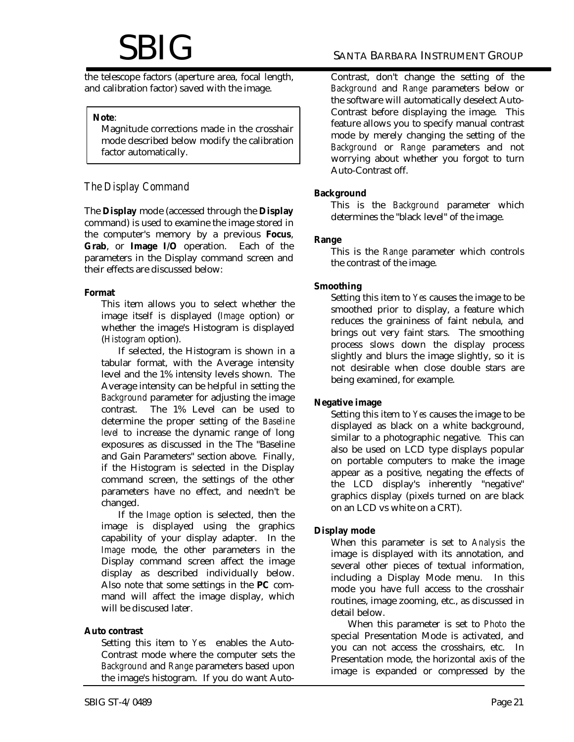the telescope factors (aperture area, focal length, and calibration factor) saved with the image.

#### **Note**:

Magnitude corrections made in the crosshair mode described below modify the calibration factor automatically.

### *The Display Command*

The **Display** mode (accessed through the **Display** command) is used to examine the image stored in the computer's memory by a previous **Focus**, **Grab**, or **Image I/O** operation. Each of the parameters in the Display command screen and their effects are discussed below:

#### **Format**

This item allows you to select whether the image itself is displayed (*Image* option) or whether the image's Histogram is displayed (*Histogram* option).

If selected, the Histogram is shown in a tabular format, with the Average intensity level and the 1% intensity levels shown. The Average intensity can be helpful in setting the *Background* parameter for adjusting the image contrast. The 1% Level can be used to determine the proper setting of the *Baseline level* to increase the dynamic range of long exposures as discussed in the The "Baseline and Gain Parameters" section above. Finally, if the Histogram is selected in the Display command screen, the settings of the other parameters have no effect, and needn't be changed.

If the *Image* option is selected, then the image is displayed using the graphics capability of your display adapter. In the *Image* mode, the other parameters in the Display command screen affect the image display as described individually below. Also note that some settings in the **PC** command will affect the image display, which will be discused later.

#### **Auto contrast**

Setting this item to *Yes* enables the Auto-Contrast mode where the computer sets the *Background* and *Range* parameters based upon the image's histogram. If you do want AutoContrast, don't change the setting of the *Background* and *Range* parameters below or the software will automatically deselect Auto-Contrast before displaying the image. This feature allows you to specify manual contrast mode by merely changing the setting of the *Background* or *Range* parameters and not worrying about whether you forgot to turn Auto-Contrast off.

#### **Background**

This is the *Background* parameter which determines the "black level" of the image.

#### **Range**

This is the *Range* parameter which controls the contrast of the image.

#### **Smoothing**

Setting this item to *Yes* causes the image to be smoothed prior to display, a feature which reduces the graininess of faint nebula, and brings out very faint stars. The smoothing process slows down the display process slightly and blurs the image slightly, so it is not desirable when close double stars are being examined, for example.

#### **Negative image**

Setting this item to *Yes* causes the image to be displayed as black on a white background, similar to a photographic negative. This can also be used on LCD type displays popular on portable computers to make the image appear as a positive, negating the effects of the LCD display's inherently "negative" graphics display (pixels turned on are black on an LCD vs white on a CRT).

#### **Display mode**

When this parameter is set to *Analysis* the image is displayed with its annotation, and several other pieces of textual information, including a Display Mode menu. In this mode you have full access to the crosshair routines, image zooming, etc., as discussed in detail below.

When this parameter is set to *Photo* the special Presentation Mode is activated, and you can not access the crosshairs, etc. In Presentation mode, the horizontal axis of the image is expanded or compressed by the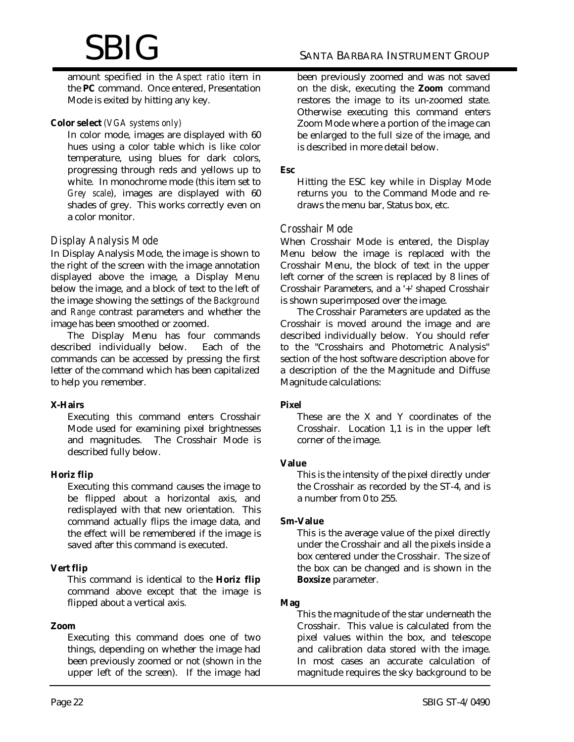amount specified in the *Aspect ratio* item in the **PC** command. Once entered, Presentation Mode is exited by hitting any key.

#### **Color select** *(VGA systems only)*

In color mode, images are displayed with 60 hues using a color table which is like color temperature, using blues for dark colors, progressing through reds and yellows up to white. In monochrome mode (this item set to *Grey scale*), images are displayed with 60 shades of grey. This works correctly even on a color monitor.

### *Display Analysis Mode*

In Display Analysis Mode, the image is shown to the right of the screen with the image annotation displayed above the image, a Display Menu below the image, and a block of text to the left of the image showing the settings of the *Background* and *Range* contrast parameters and whether the image has been smoothed or zoomed.

The Display Menu has four commands described individually below. Each of the commands can be accessed by pressing the first letter of the command which has been capitalized to help you remember.

#### **X-Hairs**

Executing this command enters Crosshair Mode used for examining pixel brightnesses and magnitudes. The Crosshair Mode is described fully below.

#### **Horiz flip**

Executing this command causes the image to be flipped about a horizontal axis, and redisplayed with that new orientation. This command actually flips the image data, and the effect will be remembered if the image is saved after this command is executed.

#### **Vert flip**

This command is identical to the **Horiz flip** command above except that the image is flipped about a vertical axis.

#### **Zoom**

Executing this command does one of two things, depending on whether the image had been previously zoomed or not (shown in the upper left of the screen). If the image had

been previously zoomed and was not saved on the disk, executing the **Zoom** command restores the image to its un-zoomed state. Otherwise executing this command enters Zoom Mode where a portion of the image can be enlarged to the full size of the image, and is described in more detail below.

#### **Esc**

Hitting the ESC key while in Display Mode returns you to the Command Mode and redraws the menu bar, Status box, etc.

#### *Crosshair Mode*

When Crosshair Mode is entered, the Display Menu below the image is replaced with the Crosshair Menu, the block of text in the upper left corner of the screen is replaced by 8 lines of Crosshair Parameters, and a '+' shaped Crosshair is shown superimposed over the image.

The Crosshair Parameters are updated as the Crosshair is moved around the image and are described individually below. You should refer to the "Crosshairs and Photometric Analysis" section of the host software description above for a description of the the Magnitude and Diffuse Magnitude calculations:

#### **Pixel**

These are the X and Y coordinates of the Crosshair. Location 1,1 is in the upper left corner of the image.

#### **Value**

This is the intensity of the pixel directly under the Crosshair as recorded by the ST-4, and is a number from 0 to 255.

#### **Sm-Value**

This is the average value of the pixel directly under the Crosshair and all the pixels inside a box centered under the Crosshair. The size of the box can be changed and is shown in the **Boxsize** parameter.

#### **Mag**

This the magnitude of the star underneath the Crosshair. This value is calculated from the pixel values within the box, and telescope and calibration data stored with the image. In most cases an accurate calculation of magnitude requires the sky background to be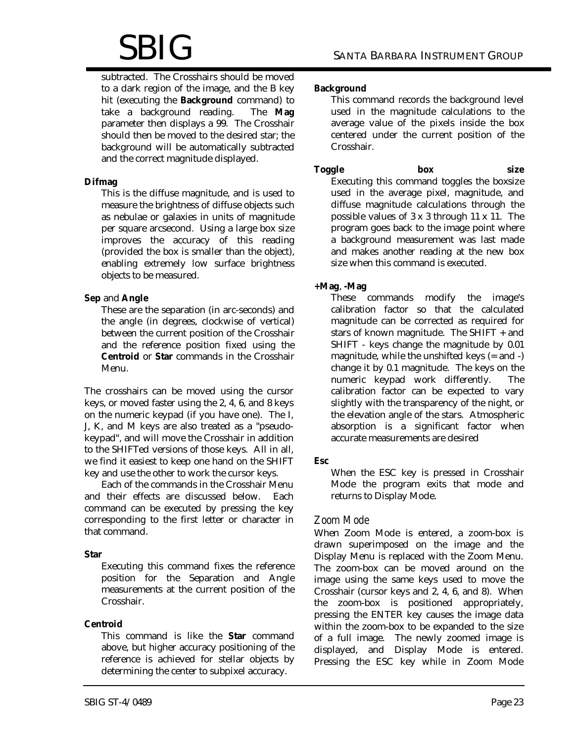subtracted. The Crosshairs should be moved to a dark region of the image, and the B key hit (executing the **Background** command) to take a background reading. The **Mag** parameter then displays a 99. The Crosshair should then be moved to the desired star; the background will be automatically subtracted and the correct magnitude displayed.

#### **Difmag**

This is the diffuse magnitude, and is used to measure the brightness of diffuse objects such as nebulae or galaxies in units of magnitude per square arcsecond. Using a large box size improves the accuracy of this reading (provided the box is smaller than the object), enabling extremely low surface brightness objects to be measured.

#### **Sep** and **Angle**

These are the separation (in arc-seconds) and the angle (in degrees, clockwise of vertical) between the current position of the Crosshair and the reference position fixed using the **Centroid** or **Star** commands in the Crosshair Menu.

The crosshairs can be moved using the cursor keys, or moved faster using the 2, 4, 6, and 8 keys on the numeric keypad (if you have one). The I, J, K, and M keys are also treated as a "pseudokeypad", and will move the Crosshair in addition to the SHIFTed versions of those keys. All in all, we find it easiest to keep one hand on the SHIFT key and use the other to work the cursor keys.

Each of the commands in the Crosshair Menu and their effects are discussed below. Each command can be executed by pressing the key corresponding to the first letter or character in that command.

#### **Star**

Executing this command fixes the reference position for the Separation and Angle measurements at the current position of the Crosshair.

#### **Centroid**

This command is like the **Star** command above, but higher accuracy positioning of the reference is achieved for stellar objects by determining the center to subpixel accuracy.

This command records the background level used in the magnitude calculations to the average value of the pixels inside the box centered under the current position of the Crosshair.

**Toggle box size** Executing this command toggles the boxsize used in the average pixel, magnitude, and diffuse magnitude calculations through the possible values of 3 x 3 through 11 x 11. The program goes back to the image point where a background measurement was last made and makes another reading at the new box size when this command is executed.

### **+Mag**, **-Mag**

These commands modify the image's calibration factor so that the calculated magnitude can be corrected as required for stars of known magnitude. The SHIFT + and SHIFT - keys change the magnitude by 0.01 magnitude, while the unshifted keys (= and -) change it by 0.1 magnitude. The keys on the numeric keypad work differently. The calibration factor can be expected to vary slightly with the transparency of the night, or the elevation angle of the stars. Atmospheric absorption is a significant factor when accurate measurements are desired

## **Esc**

When the ESC key is pressed in Crosshair Mode the program exits that mode and returns to Display Mode.

# *Zoom Mode*

When Zoom Mode is entered, a zoom-box is drawn superimposed on the image and the Display Menu is replaced with the Zoom Menu. The zoom-box can be moved around on the image using the same keys used to move the Crosshair (cursor keys and 2, 4, 6, and 8). When the zoom-box is positioned appropriately, pressing the ENTER key causes the image data within the zoom-box to be expanded to the size of a full image. The newly zoomed image is displayed, and Display Mode is entered. Pressing the ESC key while in Zoom Mode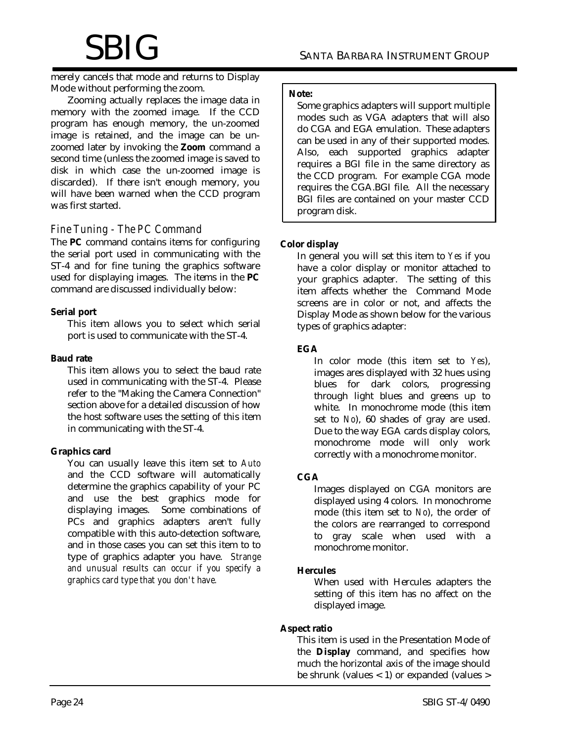merely cancels that mode and returns to Display Mode without performing the zoom.

Zooming actually replaces the image data in memory with the zoomed image. If the CCD program has enough memory, the un-zoomed image is retained, and the image can be unzoomed later by invoking the **Zoom** command a second time (unless the zoomed image is saved to disk in which case the un-zoomed image is discarded). If there isn't enough memory, you will have been warned when the CCD program was first started.

## *Fine Tuning - The PC Command*

The **PC** command contains items for configuring the serial port used in communicating with the ST-4 and for fine tuning the graphics software used for displaying images. The items in the **PC** command are discussed individually below:

#### **Serial port**

This item allows you to select which serial port is used to communicate with the ST-4.

#### **Baud rate**

This item allows you to select the baud rate used in communicating with the ST-4. Please refer to the "Making the Camera Connection" section above for a detailed discussion of how the host software uses the setting of this item in communicating with the ST-4.

#### **Graphics card**

You can usually leave this item set to *Auto* and the CCD software will automatically determine the graphics capability of your PC and use the best graphics mode for displaying images. Some combinations of PCs and graphics adapters aren't fully compatible with this auto-detection software, and in those cases you can set this item to to type of graphics adapter you have. *Strange and unusual results can occur if you specify a graphics card type that you don't have.*

#### **Note:**

Some graphics adapters will support multiple modes such as VGA adapters that will also do CGA and EGA emulation. These adapters can be used in any of their supported modes. Also, each supported graphics adapter requires a BGI file in the same directory as the CCD program. For example CGA mode requires the CGA.BGI file. All the necessary BGI files are contained on your master CCD program disk.

#### **Color display**

In general you will set this item to *Yes* if you have a color display or monitor attached to your graphics adapter. The setting of this item affects whether the Command Mode screens are in color or not, and affects the Display Mode as shown below for the various types of graphics adapter:

#### **EGA**

In color mode (this item set to *Yes*), images ares displayed with 32 hues using blues for dark colors, progressing through light blues and greens up to white. In monochrome mode (this item set to *No*), 60 shades of gray are used. Due to the way EGA cards display colors, monochrome mode will only work correctly with a monochrome monitor.

#### **CGA**

Images displayed on CGA monitors are displayed using 4 colors. In monochrome mode (this item set to *No*), the order of the colors are rearranged to correspond to gray scale when used with a monochrome monitor.

#### **Hercules**

When used with Hercules adapters the setting of this item has no affect on the displayed image.

#### **Aspect ratio**

This item is used in the Presentation Mode of the **Display** command, and specifies how much the horizontal axis of the image should be shrunk (values  $<$  1) or expanded (values  $>$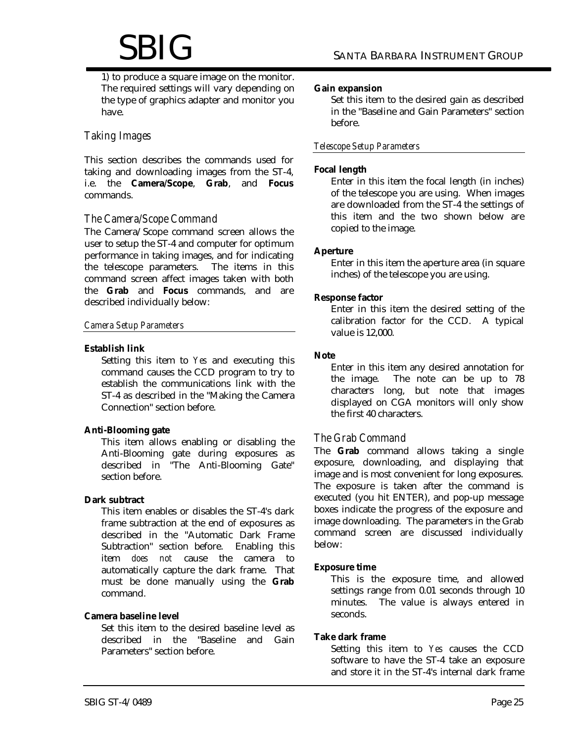1) to produce a square image on the monitor. The required settings will vary depending on the type of graphics adapter and monitor you have.

## *Taking Images*

This section describes the commands used for taking and downloading images from the ST-4, i.e. the **Camera/Scope**, **Grab**, and **Focus** commands.

### *The Camera/Scope Command*

The Camera/Scope command screen allows the user to setup the ST-4 and computer for optimum performance in taking images, and for indicating the telescope parameters. The items in this command screen affect images taken with both the **Grab** and **Focus** commands, and are described individually below:

#### *Camera Setup Parameters*

#### **Establish link**

Setting this item to *Yes* and executing this command causes the CCD program to try to establish the communications link with the ST-4 as described in the "Making the Camera Connection" section before.

#### **Anti-Blooming gate**

This item allows enabling or disabling the Anti-Blooming gate during exposures as described in "The Anti-Blooming Gate" section before.

#### **Dark subtract**

This item enables or disables the ST-4's dark frame subtraction at the end of exposures as described in the "Automatic Dark Frame Subtraction" section before. Enabling this item *does not* cause the camera to automatically capture the dark frame. That must be done manually using the **Grab** command.

#### **Camera baseline level**

Set this item to the desired baseline level as described in the "Baseline and Gain Parameters" section before.

#### **Gain expansion**

Set this item to the desired gain as described in the "Baseline and Gain Parameters" section before.

#### *Telescope Setup Parameters*

#### **Focal length**

Enter in this item the focal length (in inches) of the telescope you are using. When images are downloaded from the ST-4 the settings of this item and the two shown below are copied to the image.

#### **Aperture**

Enter in this item the aperture area (in square inches) of the telescope you are using.

#### **Response factor**

Enter in this item the desired setting of the calibration factor for the CCD. A typical value is 12,000.

#### **Note**

Enter in this item any desired annotation for the image. The note can be up to 78 characters long, but note that images displayed on CGA monitors will only show the first 40 characters.

#### *The Grab Command*

The **Grab** command allows taking a single exposure, downloading, and displaying that image and is most convenient for long exposures. The exposure is taken after the command is executed (you hit ENTER), and pop-up message boxes indicate the progress of the exposure and image downloading. The parameters in the Grab command screen are discussed individually below:

#### **Exposure time**

This is the exposure time, and allowed settings range from 0.01 seconds through 10 minutes. The value is always entered in seconds.

#### **Take dark frame**

Setting this item to *Yes* causes the CCD software to have the ST-4 take an exposure and store it in the ST-4's internal dark frame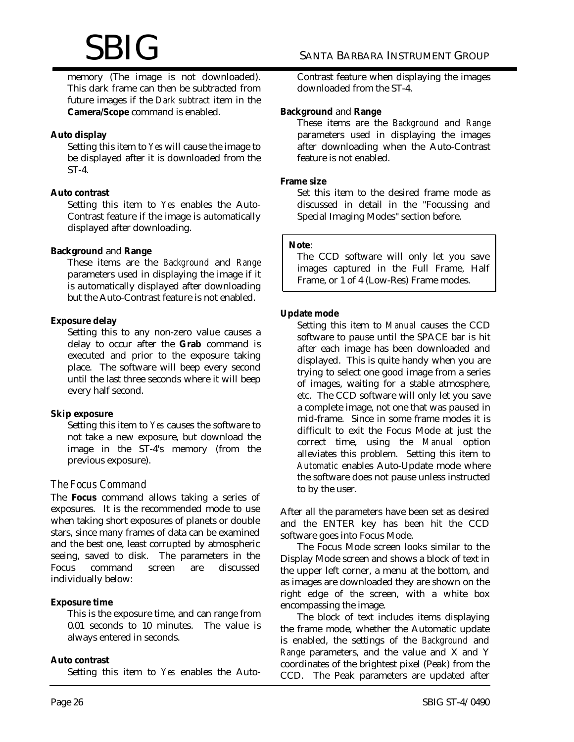memory (The image is not downloaded). This dark frame can then be subtracted from future images if the *Dark subtract* item in the **Camera/Scope** command is enabled.

#### **Auto display**

Setting this item to *Yes* will cause the image to be displayed after it is downloaded from the ST-4.

#### **Auto contrast**

Setting this item to *Yes* enables the Auto-Contrast feature if the image is automatically displayed after downloading.

#### **Background** and **Range**

These items are the *Background* and *Range* parameters used in displaying the image if it is automatically displayed after downloading but the Auto-Contrast feature is not enabled.

#### **Exposure delay**

Setting this to any non-zero value causes a delay to occur after the **Grab** command is executed and prior to the exposure taking place. The software will beep every second until the last three seconds where it will beep every half second.

#### **Skip exposure**

Setting this item to *Yes* causes the software to not take a new exposure, but download the image in the ST-4's memory (from the previous exposure).

## *The Focus Command*

The **Focus** command allows taking a series of exposures. It is the recommended mode to use when taking short exposures of planets or double stars, since many frames of data can be examined and the best one, least corrupted by atmospheric seeing, saved to disk. The parameters in the<br>Focus command screen are discussed Focus command screen are individually below:

#### **Exposure time**

This is the exposure time, and can range from 0.01 seconds to 10 minutes. The value is always entered in seconds.

#### **Auto contrast**

Setting this item to *Yes* enables the Auto-

Contrast feature when displaying the images downloaded from the ST-4.

#### **Background** and **Range**

These items are the *Background* and *Range* parameters used in displaying the images after downloading when the Auto-Contrast feature is not enabled.

#### **Frame size**

Set this item to the desired frame mode as discussed in detail in the "Focussing and Special Imaging Modes" section before.

#### **Note**:

The CCD software will only let you save images captured in the Full Frame, Half Frame, or 1 of 4 (Low-Res) Frame modes.

#### **Update mode**

Setting this item to *Manual* causes the CCD software to pause until the SPACE bar is hit after each image has been downloaded and displayed. This is quite handy when you are trying to select one good image from a series of images, waiting for a stable atmosphere, etc. The CCD software will only let you save a complete image, not one that was paused in mid-frame. Since in some frame modes it is difficult to exit the Focus Mode at just the correct time, using the *Manual* option alleviates this problem. Setting this item to *Automatic* enables Auto-Update mode where the software does not pause unless instructed to by the user.

After all the parameters have been set as desired and the ENTER key has been hit the CCD software goes into Focus Mode.

The Focus Mode screen looks similar to the Display Mode screen and shows a block of text in the upper left corner, a menu at the bottom, and as images are downloaded they are shown on the right edge of the screen, with a white box encompassing the image.

The block of text includes items displaying the frame mode, whether the Automatic update is enabled, the settings of the *Background* and *Range* parameters, and the value and X and Y coordinates of the brightest pixel (Peak) from the CCD. The Peak parameters are updated after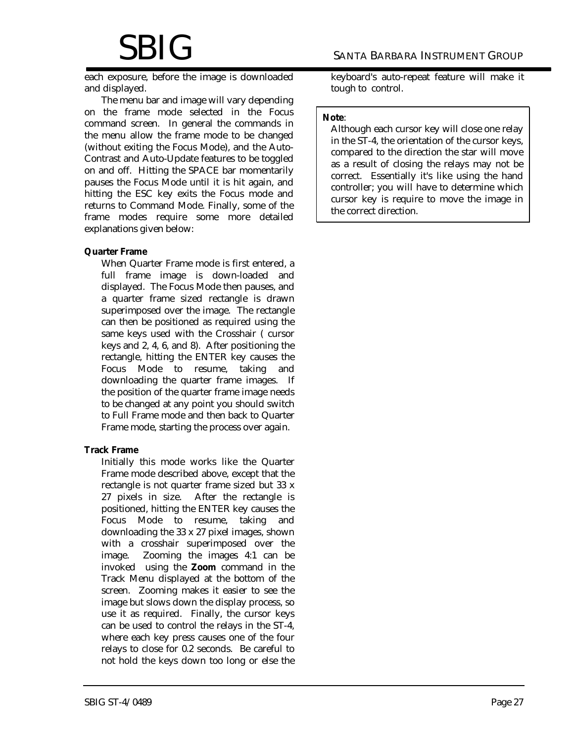each exposure, before the image is downloaded and displayed.

The menu bar and image will vary depending on the frame mode selected in the Focus command screen. In general the commands in the menu allow the frame mode to be changed (without exiting the Focus Mode), and the Auto-Contrast and Auto-Update features to be toggled on and off. Hitting the SPACE bar momentarily pauses the Focus Mode until it is hit again, and hitting the ESC key exits the Focus mode and returns to Command Mode. Finally, some of the frame modes require some more detailed explanations given below:

#### **Quarter Frame**

When Quarter Frame mode is first entered, a full frame image is down-loaded and displayed. The Focus Mode then pauses, and a quarter frame sized rectangle is drawn superimposed over the image. The rectangle can then be positioned as required using the same keys used with the Crosshair ( cursor keys and 2, 4, 6, and 8). After positioning the rectangle, hitting the ENTER key causes the Focus Mode to resume, taking and downloading the quarter frame images. If the position of the quarter frame image needs to be changed at any point you should switch to Full Frame mode and then back to Quarter Frame mode, starting the process over again.

#### **Track Frame**

Initially this mode works like the Quarter Frame mode described above, except that the rectangle is not quarter frame sized but 33 x 27 pixels in size. After the rectangle is positioned, hitting the ENTER key causes the Focus Mode to resume, taking and downloading the 33 x 27 pixel images, shown with a crosshair superimposed over the image. Zooming the images 4:1 can be invoked using the **Zoom** command in the Track Menu displayed at the bottom of the screen. Zooming makes it easier to see the image but slows down the display process, so use it as required. Finally, the cursor keys can be used to control the relays in the ST-4, where each key press causes one of the four relays to close for 0.2 seconds. Be careful to not hold the keys down too long or else the

keyboard's auto-repeat feature will make it tough to control.

#### **Note**:

Although each cursor key will close one relay in the ST-4, the orientation of the cursor keys, compared to the direction the star will move as a result of closing the relays may not be correct. Essentially it's like using the hand controller; you will have to determine which cursor key is require to move the image in the correct direction.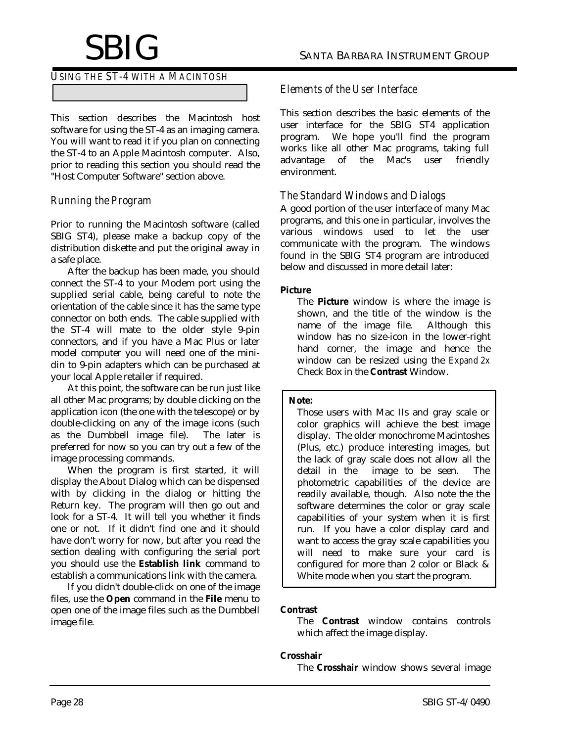### *USING THE ST-4 WITH A MACINTOSH*

This section describes the Macintosh host software for using the ST-4 as an imaging camera. You will want to read it if you plan on connecting the ST-4 to an Apple Macintosh computer. Also, prior to reading this section you should read the "Host Computer Software" section above.

## *Running the Program*

Prior to running the Macintosh software (called SBIG ST4), please make a backup copy of the distribution diskette and put the original away in a safe place.

After the backup has been made, you should connect the ST-4 to your Modem port using the supplied serial cable, being careful to note the orientation of the cable since it has the same type connector on both ends. The cable supplied with the ST-4 will mate to the older style 9-pin connectors, and if you have a Mac Plus or later model computer you will need one of the minidin to 9-pin adapters which can be purchased at your local Apple retailer if required.

At this point, the software can be run just like all other Mac programs; by double clicking on the application icon (the one with the telescope) or by double-clicking on any of the image icons (such as the Dumbbell image file). The later is preferred for now so you can try out a few of the image processing commands.

When the program is first started, it will display the About Dialog which can be dispensed with by clicking in the dialog or hitting the Return key. The program will then go out and look for a ST-4. It will tell you whether it finds one or not. If it didn't find one and it should have don't worry for now, but after you read the section dealing with configuring the serial port you should use the **Establish link** command to establish a communications link with the camera.

If you didn't double-click on one of the image files, use the **Open** command in the **File** menu to open one of the image files such as the Dumbbell image file.

## *Elements of the User Interface*

This section describes the basic elements of the user interface for the SBIG ST4 application program. We hope you'll find the program works like all other Mac programs, taking full<br>advantage of the Mac's user friendly advantage of the Mac's user friendly environment.

## *The Standard Windows and Dialogs*

A good portion of the user interface of many Mac programs, and this one in particular, involves the various windows used to let the user communicate with the program. The windows found in the SBIG ST4 program are introduced below and discussed in more detail later:

#### **Picture**

The **Picture** window is where the image is shown, and the title of the window is the name of the image file. Although this window has no size-icon in the lower-right hand corner, the image and hence the window can be resized using the *Expand 2x* Check Box in the **Contrast** Window.

#### **Note:**

Those users with Mac IIs and gray scale or color graphics will achieve the best image display. The older monochrome Macintoshes (Plus, etc.) produce interesting images, but the lack of gray scale does not allow all the detail in the image to be seen. The photometric capabilities of the device are readily available, though. Also note the the software determines the color or gray scale capabilities of your system when it is first run. If you have a color display card and want to access the gray scale capabilities you will need to make sure your card is configured for more than 2 color or Black & White mode when you start the program.

#### **Contrast**

The **Contrast** window contains controls which affect the image display.

#### **Crosshair**

The **Crosshair** window shows several image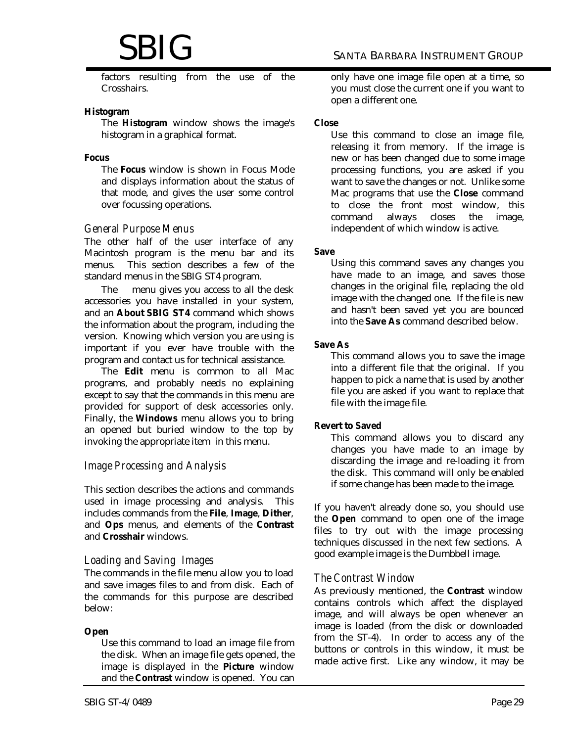# $\operatorname{SBIG}$  santa Barbara Instrument Group

factors resulting from the use of the Crosshairs.

#### **Histogram**

The **Histogram** window shows the image's histogram in a graphical format.

#### **Focus**

The **Focus** window is shown in Focus Mode and displays information about the status of that mode, and gives the user some control over focussing operations.

#### *General Purpose Menus*

The other half of the user interface of any Macintosh program is the menu bar and its menus. This section describes a few of the standard menus in the SBIG ST4 program.

The menu gives you access to all the desk accessories you have installed in your system, and an **About SBIG ST4** command which shows the information about the program, including the version. Knowing which version you are using is important if you ever have trouble with the program and contact us for technical assistance.

The **Edit** menu is common to all Mac programs, and probably needs no explaining except to say that the commands in this menu are provided for support of desk accessories only. Finally, the **Windows** menu allows you to bring an opened but buried window to the top by invoking the appropriate item in this menu.

#### *Image Processing and Analysis*

This section describes the actions and commands used in image processing and analysis. This includes commands from the **File**, **Image**, **Dither**, and **Ops** menus, and elements of the **Contrast** and **Crosshair** windows.

#### *Loading and Saving Images*

The commands in the file menu allow you to load and save images files to and from disk. Each of the commands for this purpose are described below:

#### **Open**

Use this command to load an image file from the disk. When an image file gets opened, the image is displayed in the **Picture** window and the **Contrast** window is opened. You can only have one image file open at a time, so you must close the current one if you want to open a different one.

#### **Close**

Use this command to close an image file, releasing it from memory. If the image is new or has been changed due to some image processing functions, you are asked if you want to save the changes or not. Unlike some Mac programs that use the **Close** command to close the front most window, this command always closes the image, independent of which window is active.

#### **Save**

Using this command saves any changes you have made to an image, and saves those changes in the original file, replacing the old image with the changed one. If the file is new and hasn't been saved yet you are bounced into the **Save As** command described below.

#### **Save As**

This command allows you to save the image into a different file that the original. If you happen to pick a name that is used by another file you are asked if you want to replace that file with the image file.

#### **Revert to Saved**

This command allows you to discard any changes you have made to an image by discarding the image and re-loading it from the disk. This command will only be enabled if some change has been made to the image.

If you haven't already done so, you should use the **Open** command to open one of the image files to try out with the image processing techniques discussed in the next few sections. A good example image is the Dumbbell image.

#### *The Contrast Window*

As previously mentioned, the **Contrast** window contains controls which affect the displayed image, and will always be open whenever an image is loaded (from the disk or downloaded from the ST-4). In order to access any of the buttons or controls in this window, it must be made active first. Like any window, it may be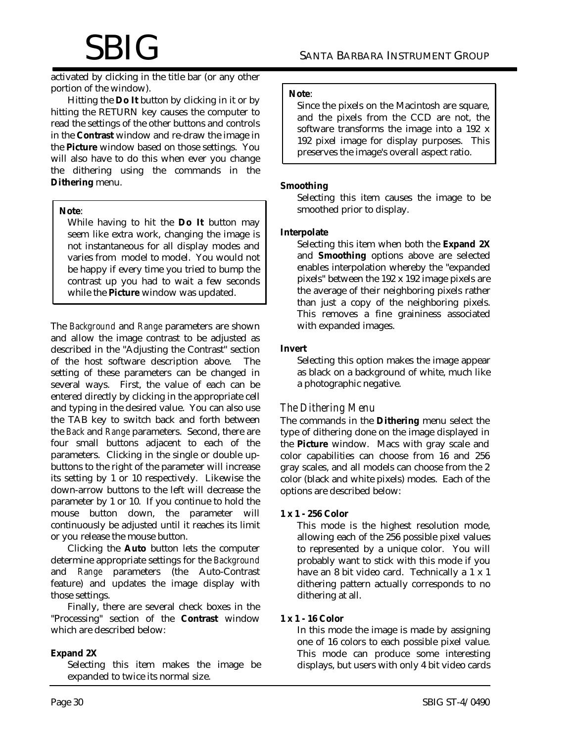activated by clicking in the title bar (or any other portion of the window).

Hitting the **Do It** button by clicking in it or by hitting the RETURN key causes the computer to read the settings of the other buttons and controls in the **Contrast** window and re-draw the image in the **Picture** window based on those settings. You will also have to do this when ever you change the dithering using the commands in the **Dithering** menu.

#### **Note**:

While having to hit the **Do It** button may seem like extra work, changing the image is not instantaneous for all display modes and varies from model to model. You would not be happy if every time you tried to bump the contrast up you had to wait a few seconds while the **Picture** window was updated.

The *Background* and *Range* parameters are shown and allow the image contrast to be adjusted as described in the "Adjusting the Contrast" section of the host software description above. The setting of these parameters can be changed in several ways. First, the value of each can be entered directly by clicking in the appropriate cell and typing in the desired value. You can also use the TAB key to switch back and forth between the *Back* and *Range* parameters. Second, there are four small buttons adjacent to each of the parameters. Clicking in the single or double upbuttons to the right of the parameter will increase its setting by 1 or 10 respectively. Likewise the down-arrow buttons to the left will decrease the parameter by 1 or 10. If you continue to hold the mouse button down, the parameter will continuously be adjusted until it reaches its limit or you release the mouse button.

Clicking the **Auto** button lets the computer determine appropriate settings for the *Background* and *Range* parameters (the Auto-Contrast feature) and updates the image display with those settings.

Finally, there are several check boxes in the "Processing" section of the **Contrast** window which are described below:

#### **Expand 2X**

Selecting this item makes the image be expanded to twice its normal size.

#### **Note**:

Since the pixels on the Macintosh are square, and the pixels from the CCD are not, the software transforms the image into a 192 x 192 pixel image for display purposes. This preserves the image's overall aspect ratio.

#### **Smoothing**

Selecting this item causes the image to be smoothed prior to display.

#### **Interpolate**

Selecting this item when both the **Expand 2X** and **Smoothing** options above are selected enables interpolation whereby the "expanded pixels" between the 192 x 192 image pixels are the average of their neighboring pixels rather than just a copy of the neighboring pixels. This removes a fine graininess associated with expanded images.

#### **Invert**

Selecting this option makes the image appear as black on a background of white, much like a photographic negative.

#### *The Dithering Menu*

The commands in the **Dithering** menu select the type of dithering done on the image displayed in the **Picture** window. Macs with gray scale and color capabilities can choose from 16 and 256 gray scales, and all models can choose from the 2 color (black and white pixels) modes. Each of the options are described below:

#### **1 x 1 - 256 Color**

This mode is the highest resolution mode, allowing each of the 256 possible pixel values to represented by a unique color. You will probably want to stick with this mode if you have an 8 bit video card. Technically a 1 x 1 dithering pattern actually corresponds to no dithering at all.

#### **1 x 1 - 16 Color**

In this mode the image is made by assigning one of 16 colors to each possible pixel value. This mode can produce some interesting displays, but users with only 4 bit video cards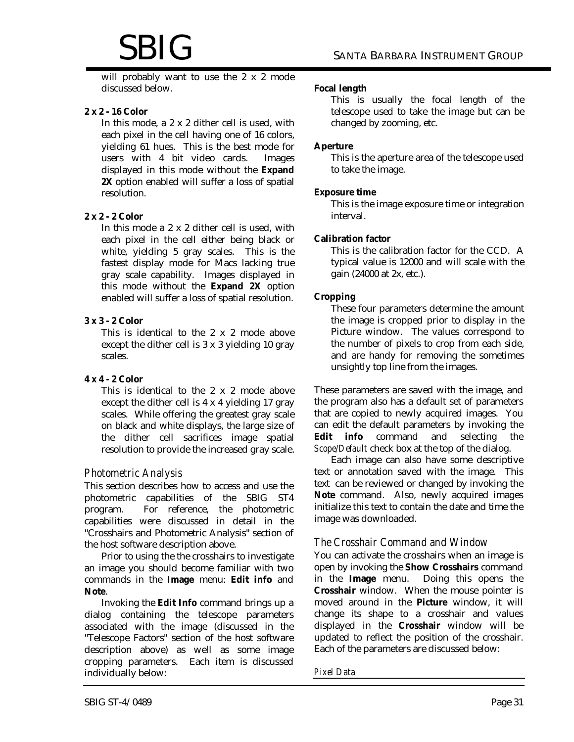will probably want to use the 2 x 2 mode discussed below.

#### **2 x 2 - 16 Color**

In this mode, a 2 x 2 dither cell is used, with each pixel in the cell having one of 16 colors, yielding 61 hues. This is the best mode for users with 4 bit video cards. Images displayed in this mode without the **Expand 2X** option enabled will suffer a loss of spatial resolution.

#### **2 x 2 - 2 Color**

In this mode a 2 x 2 dither cell is used, with each pixel in the cell either being black or white, yielding 5 gray scales. This is the fastest display mode for Macs lacking true gray scale capability. Images displayed in this mode without the **Expand 2X** option enabled will suffer a loss of spatial resolution.

#### **3 x 3 - 2 Color**

This is identical to the 2 x 2 mode above except the dither cell is 3 x 3 yielding 10 gray scales.

#### **4 x 4 - 2 Color**

This is identical to the 2 x 2 mode above except the dither cell is 4 x 4 yielding 17 gray scales. While offering the greatest gray scale on black and white displays, the large size of the dither cell sacrifices image spatial resolution to provide the increased gray scale.

#### *Photometric Analysis*

This section describes how to access and use the photometric capabilities of the SBIG ST4 program. For reference, the photometric capabilities were discussed in detail in the "Crosshairs and Photometric Analysis" section of the host software description above.

Prior to using the the crosshairs to investigate an image you should become familiar with two commands in the **Image** menu: **Edit info** and **Note**.

Invoking the **Edit Info** command brings up a dialog containing the telescope parameters associated with the image (discussed in the "Telescope Factors" section of the host software description above) as well as some image cropping parameters. Each item is discussed individually below:

#### **Focal length**

This is usually the focal length of the telescope used to take the image but can be changed by zooming, etc.

#### **Aperture**

This is the aperture area of the telescope used to take the image.

#### **Exposure time**

This is the image exposure time or integration interval.

#### **Calibration factor**

This is the calibration factor for the CCD. A typical value is 12000 and will scale with the gain (24000 at 2x, etc.).

#### **Cropping**

These four parameters determine the amount the image is cropped prior to display in the Picture window. The values correspond to the number of pixels to crop from each side, and are handy for removing the sometimes unsightly top line from the images.

These parameters are saved with the image, and the program also has a default set of parameters that are copied to newly acquired images. You can edit the default parameters by invoking the **Edit info** command and selecting the *Scope/Default* check box at the top of the dialog.

Each image can also have some descriptive text or annotation saved with the image. This text can be reviewed or changed by invoking the **Note** command. Also, newly acquired images initialize this text to contain the date and time the image was downloaded.

#### *The Crosshair Command and Window*

You can activate the crosshairs when an image is open by invoking the **Show Crosshairs** command in the **Image** menu. Doing this opens the **Crosshair** window. When the mouse pointer is moved around in the **Picture** window, it will change its shape to a crosshair and values displayed in the **Crosshair** window will be updated to reflect the position of the crosshair. Each of the parameters are discussed below:

#### *Pixel Data*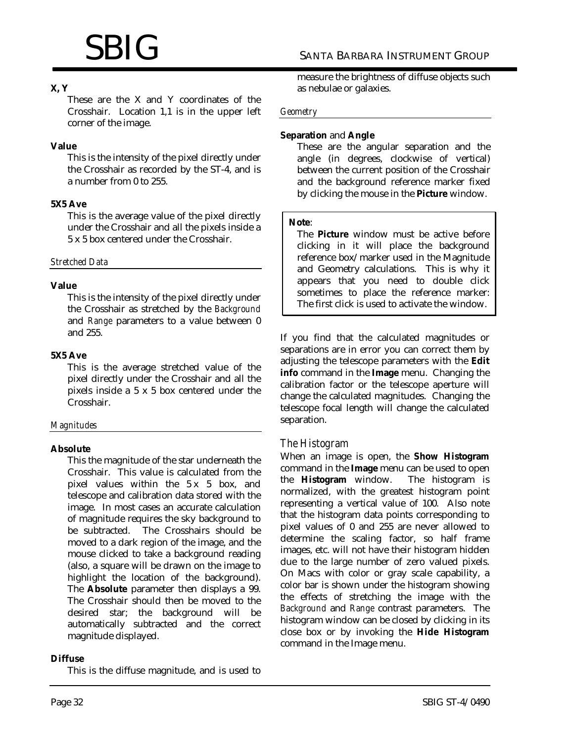## **X, Y**

These are the X and Y coordinates of the Crosshair. Location 1,1 is in the upper left corner of the image.

#### **Value**

This is the intensity of the pixel directly under the Crosshair as recorded by the ST-4, and is a number from 0 to 255.

#### **5X5 Ave**

This is the average value of the pixel directly under the Crosshair and all the pixels inside a 5 x 5 box centered under the Crosshair.

*Stretched Data*

#### **Value**

This is the intensity of the pixel directly under the Crosshair as stretched by the *Background* and *Range* parameters to a value between 0 and 255.

#### **5X5 Ave**

This is the average stretched value of the pixel directly under the Crosshair and all the pixels inside a 5 x 5 box centered under the Crosshair.

#### *Magnitudes*

#### **Absolute**

This the magnitude of the star underneath the Crosshair. This value is calculated from the pixel values within the 5 x 5 box, and telescope and calibration data stored with the image. In most cases an accurate calculation of magnitude requires the sky background to be subtracted. The Crosshairs should be moved to a dark region of the image, and the mouse clicked to take a background reading (also, a square will be drawn on the image to highlight the location of the background). The **Absolute** parameter then displays a 99. The Crosshair should then be moved to the desired star; the background will be automatically subtracted and the correct magnitude displayed.

#### **Diffuse**

This is the diffuse magnitude, and is used to

measure the brightness of diffuse objects such as nebulae or galaxies.

#### *Geometry*

#### **Separation** and **Angle**

These are the angular separation and the angle (in degrees, clockwise of vertical) between the current position of the Crosshair and the background reference marker fixed by clicking the mouse in the **Picture** window.

#### **Note**:

The **Picture** window must be active before clicking in it will place the background reference box/marker used in the Magnitude and Geometry calculations. This is why it appears that you need to double click sometimes to place the reference marker: The first click is used to activate the window.

If you find that the calculated magnitudes or separations are in error you can correct them by adjusting the telescope parameters with the **Edit info** command in the **Image** menu. Changing the calibration factor or the telescope aperture will change the calculated magnitudes. Changing the telescope focal length will change the calculated separation.

#### *The Histogram*

When an image is open, the **Show Histogram** command in the **Image** menu can be used to open<br>the **Histogram** window. The histogram is the **Histogram** window. normalized, with the greatest histogram point representing a vertical value of 100. Also note that the histogram data points corresponding to pixel values of 0 and 255 are never allowed to determine the scaling factor, so half frame images, etc. will not have their histogram hidden due to the large number of zero valued pixels. On Macs with color or gray scale capability, a color bar is shown under the histogram showing the effects of stretching the image with the *Background* and *Range* contrast parameters. The histogram window can be closed by clicking in its close box or by invoking the **Hide Histogram** command in the Image menu.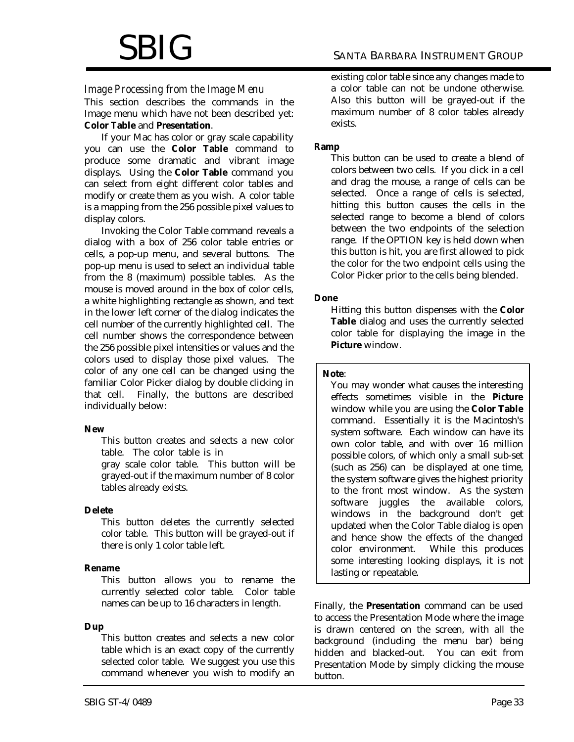#### *Image Processing from the Image Menu*

This section describes the commands in the Image menu which have not been described yet: **Color Table** and **Presentation**.

If your Mac has color or gray scale capability you can use the **Color Table** command to produce some dramatic and vibrant image displays. Using the **Color Table** command you can select from eight different color tables and modify or create them as you wish. A color table is a mapping from the 256 possible pixel values to display colors.

Invoking the Color Table command reveals a dialog with a box of 256 color table entries or cells, a pop-up menu, and several buttons. The pop-up menu is used to select an individual table from the 8 (maximum) possible tables. As the mouse is moved around in the box of color cells, a white highlighting rectangle as shown, and text in the lower left corner of the dialog indicates the cell number of the currently highlighted cell. The cell number shows the correspondence between the 256 possible pixel intensities or values and the colors used to display those pixel values. The color of any one cell can be changed using the familiar Color Picker dialog by double clicking in that cell. Finally, the buttons are described individually below:

#### **New**

This button creates and selects a new color table. The color table is in gray scale color table. This button will be grayed-out if the maximum number of 8 color tables already exists.

#### **Delete**

This button deletes the currently selected color table. This button will be grayed-out if there is only 1 color table left.

#### **Rename**

This button allows you to rename the currently selected color table. Color table names can be up to 16 characters in length.

#### **Dup**

This button creates and selects a new color table which is an exact copy of the currently selected color table. We suggest you use this command whenever you wish to modify an

#### **Ramp**

This button can be used to create a blend of colors between two cells. If you click in a cell and drag the mouse, a range of cells can be selected. Once a range of cells is selected, hitting this button causes the cells in the selected range to become a blend of colors between the two endpoints of the selection range. If the OPTION key is held down when this button is hit, you are first allowed to pick the color for the two endpoint cells using the Color Picker prior to the cells being blended.

#### **Done**

Hitting this button dispenses with the **Color Table** dialog and uses the currently selected color table for displaying the image in the **Picture** window.

#### **Note**:

You may wonder what causes the interesting effects sometimes visible in the **Picture** window while you are using the **Color Table** command. Essentially it is the Macintosh's system software. Each window can have its own color table, and with over 16 million possible colors, of which only a small sub-set (such as 256) can be displayed at one time, the system software gives the highest priority to the front most window. As the system software juggles the available colors, windows in the background don't get updated when the Color Table dialog is open and hence show the effects of the changed color environment. While this produces some interesting looking displays, it is not lasting or repeatable.

Finally, the **Presentation** command can be used to access the Presentation Mode where the image is drawn centered on the screen, with all the background (including the menu bar) being hidden and blacked-out. You can exit from Presentation Mode by simply clicking the mouse button.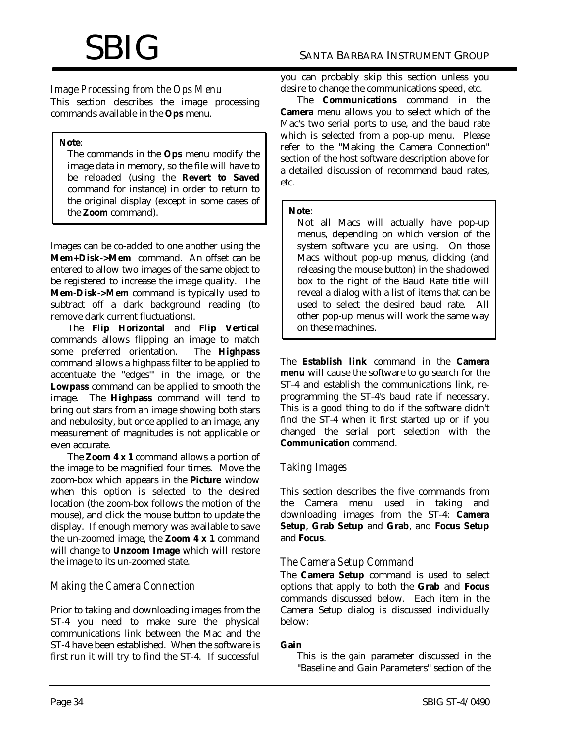# *Image Processing from the Ops Menu*

This section describes the image processing commands available in the **Ops** menu.

#### **Note**:

The commands in the **Ops** menu modify the image data in memory, so the file will have to be reloaded (using the **Revert to Saved** command for instance) in order to return to the original display (except in some cases of the **Zoom** command).

Images can be co-added to one another using the **Mem+Disk->Mem** command. An offset can be entered to allow two images of the same object to be registered to increase the image quality. The **Mem-Disk->Mem** command is typically used to subtract off a dark background reading (to remove dark current fluctuations).

The **Flip Horizontal** and **Flip Vertical** commands allows flipping an image to match some preferred orientation. The **Highpass** command allows a highpass filter to be applied to accentuate the "edges'" in the image, or the **Lowpass** command can be applied to smooth the image. The **Highpass** command will tend to bring out stars from an image showing both stars and nebulosity, but once applied to an image, any measurement of magnitudes is not applicable or even accurate.

The **Zoom 4 x 1** command allows a portion of the image to be magnified four times. Move the zoom-box which appears in the **Picture** window when this option is selected to the desired location (the zoom-box follows the motion of the mouse), and click the mouse button to update the display. If enough memory was available to save the un-zoomed image, the **Zoom 4 x 1** command will change to **Unzoom Image** which will restore the image to its un-zoomed state.

# *Making the Camera Connection*

Prior to taking and downloading images from the ST-4 you need to make sure the physical communications link between the Mac and the ST-4 have been established. When the software is first run it will try to find the ST-4. If successful you can probably skip this section unless you desire to change the communications speed, etc.

The **Communications** command in the **Camera** menu allows you to select which of the Mac's two serial ports to use, and the baud rate which is selected from a pop-up menu. Please refer to the "Making the Camera Connection" section of the host software description above for a detailed discussion of recommend baud rates, etc.

#### **Note**:

Not all Macs will actually have pop-up menus, depending on which version of the system software you are using. On those Macs without pop-up menus, clicking (and releasing the mouse button) in the shadowed box to the right of the Baud Rate title will reveal a dialog with a list of items that can be used to select the desired baud rate. All other pop-up menus will work the same way on these machines.

The **Establish link** command in the **Camera menu** will cause the software to go search for the ST-4 and establish the communications link, reprogramming the ST-4's baud rate if necessary. This is a good thing to do if the software didn't find the ST-4 when it first started up or if you changed the serial port selection with the **Communication** command.

# *Taking Images*

This section describes the five commands from the Camera menu used in taking and downloading images from the ST-4: **Camera Setup**, **Grab Setup** and **Grab**, and **Focus Setup** and **Focus**.

# *The Camera Setup Command*

The **Camera Setup** command is used to select options that apply to both the **Grab** and **Focus** commands discussed below. Each item in the Camera Setup dialog is discussed individually below:

## **Gain**

This is the *gain* parameter discussed in the "Baseline and Gain Parameters" section of the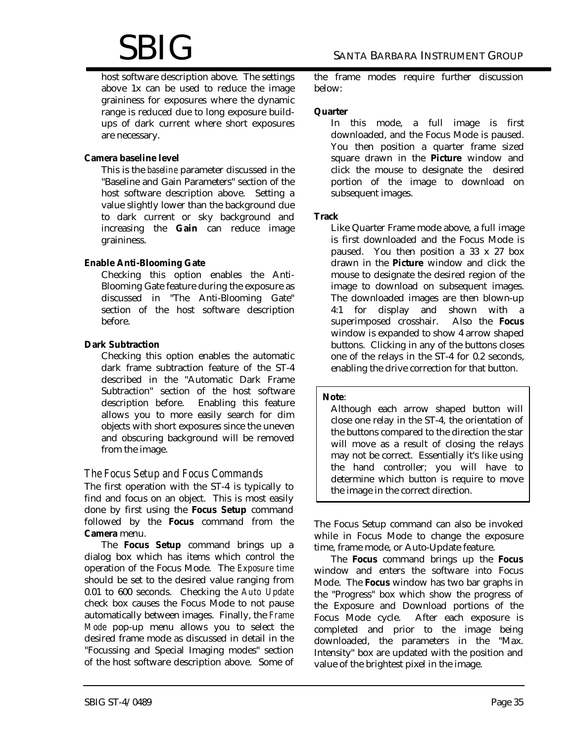# $\operatorname{SBIG}$  santa Barbara Instrument Group

host software description above. The settings above 1x can be used to reduce the image graininess for exposures where the dynamic range is reduced due to long exposure buildups of dark current where short exposures are necessary.

#### **Camera baseline level**

This is the *baseline* parameter discussed in the "Baseline and Gain Parameters" section of the host software description above. Setting a value slightly lower than the background due to dark current or sky background and increasing the **Gain** can reduce image graininess.

#### **Enable Anti-Blooming Gate**

Checking this option enables the Anti-Blooming Gate feature during the exposure as discussed in "The Anti-Blooming Gate" section of the host software description before.

#### **Dark Subtraction**

Checking this option enables the automatic dark frame subtraction feature of the ST-4 described in the "Automatic Dark Frame Subtraction" section of the host software description before. Enabling this feature allows you to more easily search for dim objects with short exposures since the uneven and obscuring background will be removed from the image.

#### *The Focus Setup and Focus Commands*

The first operation with the ST-4 is typically to find and focus on an object. This is most easily done by first using the **Focus Setup** command followed by the **Focus** command from the **Camera** menu.

The **Focus Setup** command brings up a dialog box which has items which control the operation of the Focus Mode. The *Exposure time* should be set to the desired value ranging from 0.01 to 600 seconds. Checking the *Auto Update* check box causes the Focus Mode to not pause automatically between images. Finally, the *Frame Mode* pop-up menu allows you to select the desired frame mode as discussed in detail in the "Focussing and Special Imaging modes" section of the host software description above. Some of the frame modes require further discussion below:

#### **Quarter**

In this mode, a full image is first downloaded, and the Focus Mode is paused. You then position a quarter frame sized square drawn in the **Picture** window and click the mouse to designate the desired portion of the image to download on subsequent images.

#### **Track**

Like Quarter Frame mode above, a full image is first downloaded and the Focus Mode is paused. You then position a 33 x 27 box drawn in the **Picture** window and click the mouse to designate the desired region of the image to download on subsequent images. The downloaded images are then blown-up 4:1 for display and shown with a superimposed crosshair. Also the **Focus** window is expanded to show 4 arrow shaped buttons. Clicking in any of the buttons closes one of the relays in the ST-4 for 0.2 seconds, enabling the drive correction for that button.

#### **Note**:

Although each arrow shaped button will close one relay in the ST-4, the orientation of the buttons compared to the direction the star will move as a result of closing the relays may not be correct. Essentially it's like using the hand controller; you will have to determine which button is require to move the image in the correct direction.

The Focus Setup command can also be invoked while in Focus Mode to change the exposure time, frame mode, or Auto-Update feature.

The **Focus** command brings up the **Focus** window and enters the software into Focus Mode. The **Focus** window has two bar graphs in the "Progress" box which show the progress of the Exposure and Download portions of the Focus Mode cycle. After each exposure is completed and prior to the image being downloaded, the parameters in the "Max. Intensity" box are updated with the position and value of the brightest pixel in the image.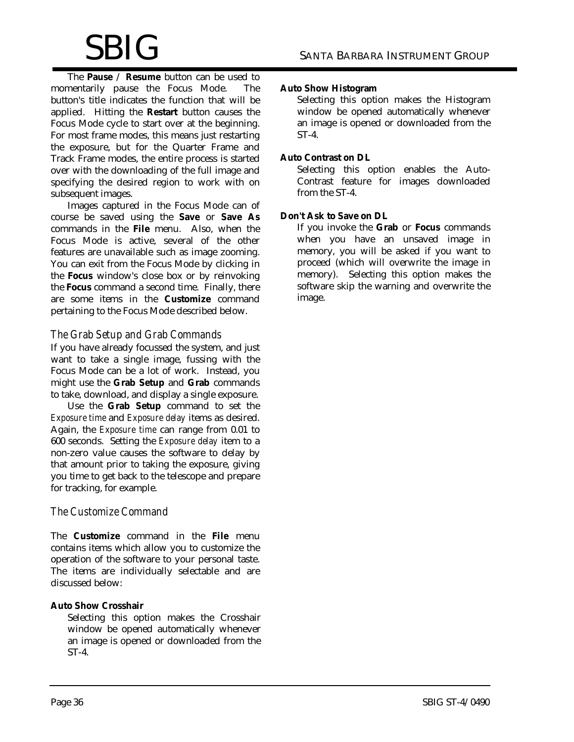The **Pause** / **Resume** button can be used to momentarily pause the Focus Mode. The button's title indicates the function that will be applied. Hitting the **Restart** button causes the Focus Mode cycle to start over at the beginning. For most frame modes, this means just restarting the exposure, but for the Quarter Frame and Track Frame modes, the entire process is started over with the downloading of the full image and specifying the desired region to work with on subsequent images.

Images captured in the Focus Mode can of course be saved using the **Save** or **Save As** commands in the **File** menu. Also, when the Focus Mode is active, several of the other features are unavailable such as image zooming. You can exit from the Focus Mode by clicking in the **Focus** window's close box or by reinvoking the **Focus** command a second time. Finally, there are some items in the **Customize** command pertaining to the Focus Mode described below.

## *The Grab Setup and Grab Commands*

If you have already focussed the system, and just want to take a single image, fussing with the Focus Mode can be a lot of work. Instead, you might use the **Grab Setup** and **Grab** commands to take, download, and display a single exposure.

Use the **Grab Setup** command to set the *Exposure time* and *Exposure delay* items as desired. Again, the *Exposure time* can range from 0.01 to 600 seconds. Setting the *Exposure delay* item to a non-zero value causes the software to delay by that amount prior to taking the exposure, giving you time to get back to the telescope and prepare for tracking, for example.

# *The Customize Command*

The **Customize** command in the **File** menu contains items which allow you to customize the operation of the software to your personal taste. The items are individually selectable and are discussed below:

#### **Auto Show Crosshair**

Selecting this option makes the Crosshair window be opened automatically whenever an image is opened or downloaded from the ST-4.

#### **Auto Show Histogram**

Selecting this option makes the Histogram window be opened automatically whenever an image is opened or downloaded from the ST-4.

#### **Auto Contrast on DL**

Selecting this option enables the Auto-Contrast feature for images downloaded from the ST-4.

#### **Don't Ask to Save on DL**

If you invoke the **Grab** or **Focus** commands when you have an unsaved image in memory, you will be asked if you want to proceed (which will overwrite the image in memory). Selecting this option makes the software skip the warning and overwrite the image.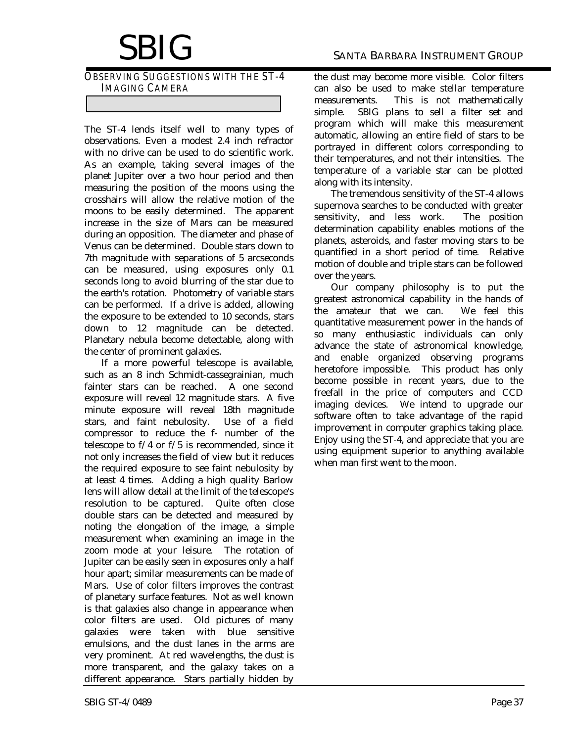*OBSERVING SUGGESTIONS WITH THE ST-4 IMAGING CAMERA*

The ST-4 lends itself well to many types of observations. Even a modest 2.4 inch refractor with no drive can be used to do scientific work. As an example, taking several images of the planet Jupiter over a two hour period and then measuring the position of the moons using the crosshairs will allow the relative motion of the moons to be easily determined. The apparent increase in the size of Mars can be measured during an opposition. The diameter and phase of Venus can be determined. Double stars down to 7th magnitude with separations of 5 arcseconds can be measured, using exposures only 0.1 seconds long to avoid blurring of the star due to the earth's rotation. Photometry of variable stars can be performed. If a drive is added, allowing the exposure to be extended to 10 seconds, stars down to 12 magnitude can be detected. Planetary nebula become detectable, along with the center of prominent galaxies.

If a more powerful telescope is available, such as an 8 inch Schmidt-cassegrainian, much fainter stars can be reached. A one second exposure will reveal 12 magnitude stars. A five minute exposure will reveal 18th magnitude stars, and faint nebulosity. Use of a field compressor to reduce the f- number of the telescope to f/4 or f/5 is recommended, since it not only increases the field of view but it reduces the required exposure to see faint nebulosity by at least 4 times. Adding a high quality Barlow lens will allow detail at the limit of the telescope's resolution to be captured. Quite often close double stars can be detected and measured by noting the elongation of the image, a simple measurement when examining an image in the zoom mode at your leisure. The rotation of Jupiter can be easily seen in exposures only a half hour apart; similar measurements can be made of Mars. Use of color filters improves the contrast of planetary surface features. Not as well known is that galaxies also change in appearance when color filters are used. Old pictures of many galaxies were taken with blue sensitive emulsions, and the dust lanes in the arms are very prominent. At red wavelengths, the dust is more transparent, and the galaxy takes on a different appearance. Stars partially hidden by the dust may become more visible. Color filters can also be used to make stellar temperature measurements. This is not mathematically simple. SBIG plans to sell a filter set and program which will make this measurement automatic, allowing an entire field of stars to be portrayed in different colors corresponding to their temperatures, and not their intensities. The temperature of a variable star can be plotted along with its intensity.

The tremendous sensitivity of the ST-4 allows supernova searches to be conducted with greater sensitivity, and less work. The position determination capability enables motions of the planets, asteroids, and faster moving stars to be quantified in a short period of time. Relative motion of double and triple stars can be followed over the years.

Our company philosophy is to put the greatest astronomical capability in the hands of the amateur that we can. We feel this quantitative measurement power in the hands of so many enthusiastic individuals can only advance the state of astronomical knowledge, and enable organized observing programs heretofore impossible. This product has only become possible in recent years, due to the freefall in the price of computers and CCD imaging devices. We intend to upgrade our software often to take advantage of the rapid improvement in computer graphics taking place. Enjoy using the ST-4, and appreciate that you are using equipment superior to anything available when man first went to the moon.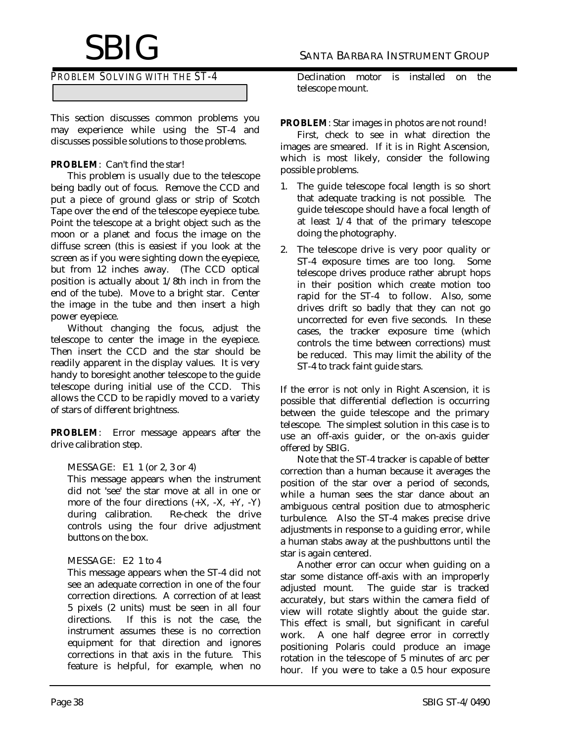# *PROBLEM SOLVING WITH THE ST-4*

This section discusses common problems you may experience while using the ST-4 and discusses possible solutions to those problems.

#### **PROBLEM**: Can't find the star!

This problem is usually due to the telescope being badly out of focus. Remove the CCD and put a piece of ground glass or strip of Scotch Tape over the end of the telescope eyepiece tube. Point the telescope at a bright object such as the moon or a planet and focus the image on the diffuse screen (this is easiest if you look at the screen as if you were sighting down the eyepiece, but from 12 inches away. (The CCD optical position is actually about 1/8th inch in from the end of the tube). Move to a bright star. Center the image in the tube and then insert a high power eyepiece.

Without changing the focus, adjust the telescope to center the image in the eyepiece. Then insert the CCD and the star should be readily apparent in the display values. It is very handy to boresight another telescope to the guide telescope during initial use of the CCD. This allows the CCD to be rapidly moved to a variety of stars of different brightness.

**PROBLEM**: Error message appears after the drive calibration step.

#### MESSAGE: E1 1 (or 2, 3 or 4)

This message appears when the instrument did not 'see' the star move at all in one or more of the four directions  $(+X, -X, +Y, -Y)$ during calibration. Re-check the drive controls using the four drive adjustment buttons on the box.

#### MESSAGE: E2 1 to 4

This message appears when the ST-4 did not see an adequate correction in one of the four correction directions. A correction of at least 5 pixels (2 units) must be seen in all four directions. If this is not the case, the instrument assumes these is no correction equipment for that direction and ignores corrections in that axis in the future. This feature is helpful, for example, when no

Declination motor is installed on the telescope mount.

#### **PROBLEM**: Star images in photos are not round!

First, check to see in what direction the images are smeared. If it is in Right Ascension, which is most likely, consider the following possible problems.

- 1. The guide telescope focal length is so short that adequate tracking is not possible. The guide telescope should have a focal length of at least 1/4 that of the primary telescope doing the photography.
- 2. The telescope drive is very poor quality or ST-4 exposure times are too long. Some telescope drives produce rather abrupt hops in their position which create motion too rapid for the ST-4 to follow. Also, some drives drift so badly that they can not go uncorrected for even five seconds. In these cases, the tracker exposure time (which controls the time between corrections) must be reduced. This may limit the ability of the ST-4 to track faint guide stars.

If the error is not only in Right Ascension, it is possible that differential deflection is occurring between the guide telescope and the primary telescope. The simplest solution in this case is to use an off-axis guider, or the on-axis guider offered by SBIG.

Note that the ST-4 tracker is capable of better correction than a human because it averages the position of the star over a period of seconds, while a human sees the star dance about an ambiguous central position due to atmospheric turbulence. Also the ST-4 makes precise drive adjustments in response to a guiding error, while a human stabs away at the pushbuttons until the star is again centered.

Another error can occur when guiding on a star some distance off-axis with an improperly adjusted mount. The guide star is tracked accurately, but stars within the camera field of view will rotate slightly about the guide star. This effect is small, but significant in careful work. A one half degree error in correctly positioning Polaris could produce an image rotation in the telescope of 5 minutes of arc per hour. If you were to take a 0.5 hour exposure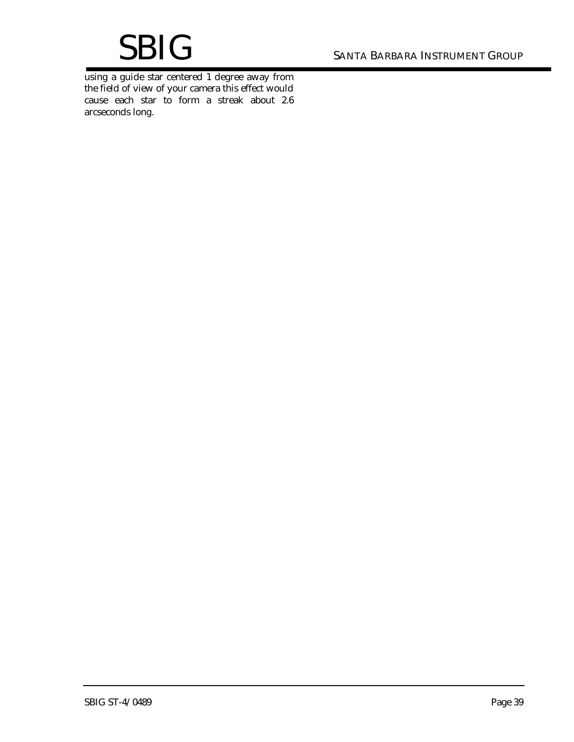# SANTA BARBARA INSTRUMENT GROUP

using a guide star centered 1 degree away from the field of view of your camera this effect would cause each star to form a streak about 2.6 arcseconds long.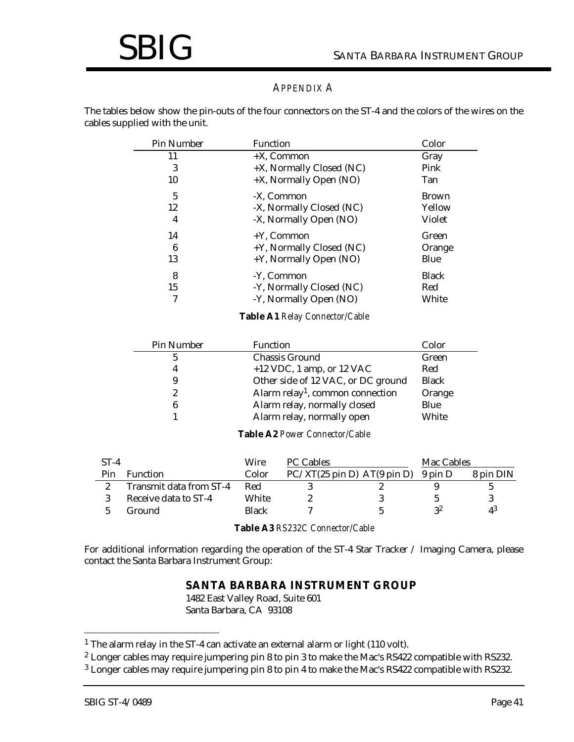#### *APPENDIX A*

The tables below show the pin-outs of the four connectors on the ST-4 and the colors of the wires on the cables supplied with the unit.

| Pin Number | Function                 | Color        |
|------------|--------------------------|--------------|
| 11         | $+X$ , Common            | Gray         |
| 3          | +X, Normally Closed (NC) | Pink         |
| 10         | +X, Normally Open (NO)   | Tan          |
| 5          | -X. Common               | <b>Brown</b> |
| 12         | -X, Normally Closed (NC) | Yellow       |
| 4          | -X, Normally Open (NO)   | Violet       |
| 14         | $+Y$ , Common            | Green        |
| 6          | +Y, Normally Closed (NC) | Orange       |
| 13         | +Y, Normally Open (NO)   | Blue         |
| 8          | -Y, Common               | <b>Black</b> |
| 15         | -Y, Normally Closed (NC) | Red          |
| 7          | -Y, Normally Open (NO)   | White        |

#### **Table A1** *Relay Connector/Cable*

| Pin Number | <b>Function</b>                              | Color        |
|------------|----------------------------------------------|--------------|
| 5          | <b>Chassis Ground</b>                        | Green        |
| 4          | $+12$ VDC, 1 amp, or 12 VAC                  | Red          |
| 9          | Other side of 12 VAC, or DC ground           | <b>Black</b> |
| 2          | Alarm relay <sup>1</sup> , common connection | Orange       |
| 6          | Alarm relay, normally closed                 | Blue         |
|            | Alarm relay, normally open                   | White        |

#### **Table A2** *Power Connector/Cable*

| $ST-4$ |                         | Wire  | <b>PC Cables</b>                                              | Mac Cables |           |
|--------|-------------------------|-------|---------------------------------------------------------------|------------|-----------|
| Pin    | <b>Function</b>         | Color | $PC/XT(25 \text{ pin D}) AT(9 \text{ pin D}) 9 \text{ pin D}$ |            | 8 pin DIN |
|        | Transmit data from ST-4 | Red   |                                                               |            |           |
|        | Receive data to ST-4    | White |                                                               |            |           |
|        | Ground                  | Black |                                                               | 22         | $4^3$     |

**Table A3** *RS232C Connector/Cable*

For additional information regarding the operation of the ST-4 Star Tracker / Imaging Camera, please contact the Santa Barbara Instrument Group:

#### **SANTA BARBARA INSTRUMENT GROUP**

1482 East Valley Road, Suite 601 Santa Barbara, CA 93108

-

<sup>&</sup>lt;sup>1</sup> The alarm relay in the ST-4 can activate an external alarm or light (110 volt).

 $^2$  Longer cables may require jumpering pin 8 to pin 3 to make the Mac's RS422 compatible with RS232.

 $^3$  Longer cables may require jumpering pin 8 to pin 4 to make the Mac's RS422 compatible with RS232.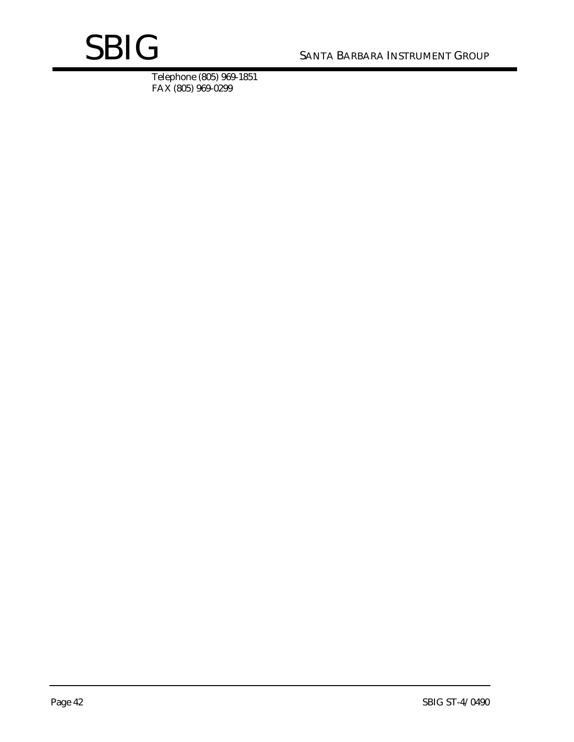# SANTA BARBARA INSTRUMENT GROUP

Telephone (805) 969-1851 FAX (805) 969-0299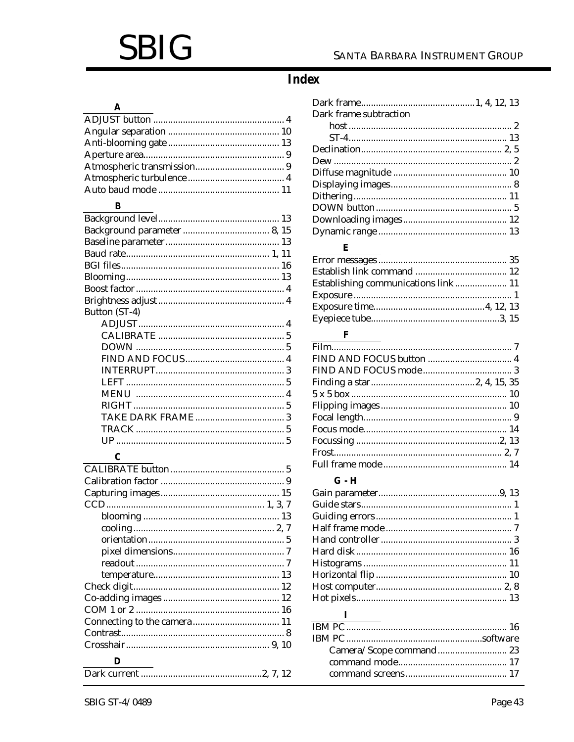# **SBIG**

# SANTA BARBARA INSTRUMENT GROUP

# **Index**

### $\boldsymbol{\mathsf{A}}$

# $\mathbf{B}$

| Button (ST-4) |  |
|---------------|--|
|               |  |
|               |  |
|               |  |
|               |  |
|               |  |
|               |  |
|               |  |
|               |  |
|               |  |
|               |  |
|               |  |
|               |  |

# $\mathbf{C}$

| D |  |
|---|--|
|   |  |

| Dark frame subtraction              |
|-------------------------------------|
|                                     |
|                                     |
|                                     |
|                                     |
|                                     |
|                                     |
|                                     |
|                                     |
|                                     |
|                                     |
|                                     |
| E                                   |
|                                     |
|                                     |
| Establishing communications link 11 |
|                                     |
|                                     |
|                                     |
| F                                   |
|                                     |
|                                     |
|                                     |
|                                     |
|                                     |
|                                     |
|                                     |
|                                     |
|                                     |
|                                     |
|                                     |
|                                     |
| $G - H$                             |
|                                     |
|                                     |
|                                     |
|                                     |
|                                     |
|                                     |
|                                     |
|                                     |
|                                     |
|                                     |
| L                                   |
|                                     |
|                                     |
| Camera/Scope command 23             |
|                                     |
|                                     |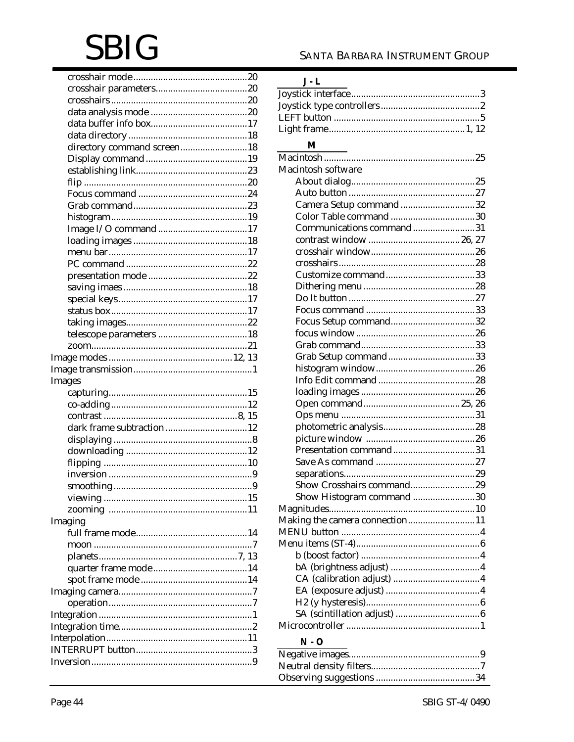# **SBIG**

| directory command screen18 |
|----------------------------|
|                            |
|                            |
|                            |
|                            |
|                            |
|                            |
|                            |
|                            |
|                            |
|                            |
|                            |
|                            |
|                            |
|                            |
|                            |
|                            |
|                            |
|                            |
|                            |
|                            |
|                            |
| Images                     |
|                            |
|                            |
|                            |
| dark frame subtraction 12  |
|                            |
|                            |
|                            |
|                            |
|                            |
|                            |
|                            |
| Imaging                    |
|                            |
|                            |
|                            |
|                            |
|                            |
|                            |
|                            |
|                            |
|                            |
|                            |
|                            |
|                            |

# $J - L$

# $\mathbf M$

| Macintosh software             |
|--------------------------------|
|                                |
|                                |
| Camera Setup command32         |
|                                |
| Communications command31       |
|                                |
|                                |
|                                |
|                                |
|                                |
|                                |
|                                |
|                                |
|                                |
|                                |
|                                |
|                                |
|                                |
|                                |
|                                |
|                                |
|                                |
|                                |
| Presentation command31         |
|                                |
|                                |
| Show Crosshairs command29      |
| Show Histogram command 30      |
|                                |
|                                |
| Making the camera connection11 |
|                                |
|                                |
|                                |
|                                |
|                                |
|                                |
|                                |
|                                |
|                                |
| $N - O$                        |
|                                |
|                                |